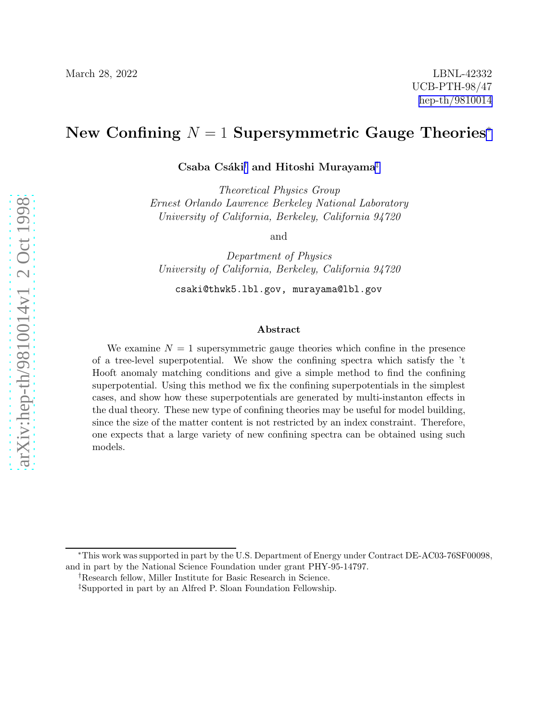# New Confining  $N = 1$  Supersymmetric Gauge Theories<sup>\*</sup>

Csaba Csáki<sup>†</sup> and Hitoshi Murayama<sup>‡</sup>

Theoretical Physics Group Ernest Orlando Lawrence Berkeley National Laboratory University of California, Berkeley, California 94720

and

Department of Physics University of California, Berkeley, California 94720

csaki@thwk5.lbl.gov, murayama@lbl.gov

#### Abstract

We examine  $N = 1$  supersymmetric gauge theories which confine in the presence of a tree-level superpotential. We show the confining spectra which satisfy the 't Hooft anomaly matching conditions and give a simple method to find the confining superpotential. Using this method we fix the confining superpotentials in the simplest cases, and show how these superpotentials are generated by multi-instanton effects in the dual theory. These new type of confining theories may be useful for model building, since the size of the matter content is not restricted by an index constraint. Therefore, one expects that a large variety of new confining spectra can be obtained using such models.

<sup>∗</sup>This work was supported in part by the U.S. Department of Energy under Contract DE-AC03-76SF00098, and in part by the National Science Foundation under grant PHY-95-14797.

<sup>†</sup>Research fellow, Miller Institute for Basic Research in Science.

<sup>‡</sup>Supported in part by an Alfred P. Sloan Foundation Fellowship.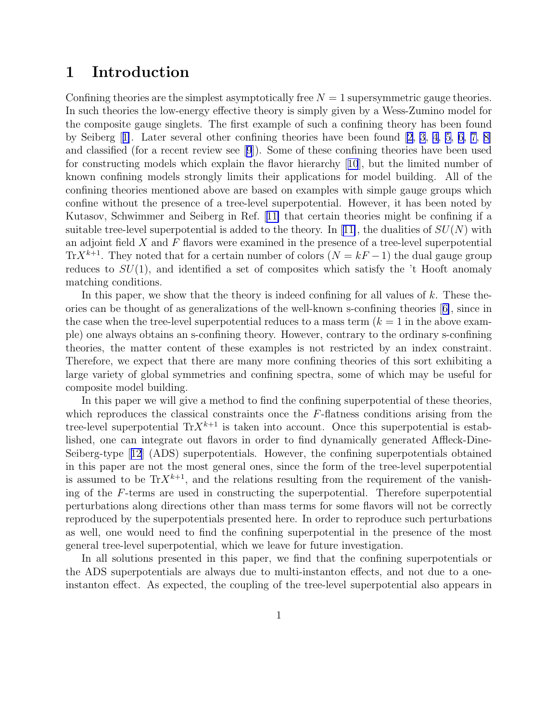## 1 Introduction

Confining theories are the simplest asymptotically free  $N = 1$  supersymmetric gauge theories. In such theories the low-energy effective theory is simply given by a Wess-Zumino model for the composite gauge singlets. The first example of such a confining theory has been found by Seiberg[[1\]](#page-24-0). Later several other confining theories have been found [\[2](#page-24-0), [3](#page-24-0), [4, 5, 6,](#page-24-0) [7, 8\]](#page-25-0) and classified (for a recent review see[[9](#page-25-0)]). Some of these confining theories have been used for constructing models which explain the flavor hierarchy[[10](#page-25-0)], but the limited number of known confining models strongly limits their applications for model building. All of the confining theories mentioned above are based on examples with simple gauge groups which confine without the presence of a tree-level superpotential. However, it has been noted by Kutasov, Schwimmer and Seiberg in Ref.[[11\]](#page-25-0) that certain theories might be confining if a suitabletree-level superpotential is added to the theory. In [[11\]](#page-25-0), the dualities of  $SU(N)$  with an adjoint field  $X$  and  $F$  flavors were examined in the presence of a tree-level superpotential Tr $X^{k+1}$ . They noted that for a certain number of colors  $(N = kF - 1)$  the dual gauge group reduces to  $SU(1)$ , and identified a set of composites which satisfy the 't Hooft anomaly matching conditions.

In this paper, we show that the theory is indeed confining for all values of k. These theories can be thought of as generalizations of the well-known s-confining theories[[6\]](#page-24-0), since in the case when the tree-level superpotential reduces to a mass term  $(k = 1$  in the above example) one always obtains an s-confining theory. However, contrary to the ordinary s-confining theories, the matter content of these examples is not restricted by an index constraint. Therefore, we expect that there are many more confining theories of this sort exhibiting a large variety of global symmetries and confining spectra, some of which may be useful for composite model building.

In this paper we will give a method to find the confining superpotential of these theories, which reproduces the classical constraints once the  $F$ -flatness conditions arising from the tree-level superpotential  $\text{Tr}X^{k+1}$  is taken into account. Once this superpotential is established, one can integrate out flavors in order to find dynamically generated Affleck-Dine-Seiberg-type[[12](#page-25-0)] (ADS) superpotentials. However, the confining superpotentials obtained in this paper are not the most general ones, since the form of the tree-level superpotential is assumed to be  $\text{Tr} X^{k+1}$ , and the relations resulting from the requirement of the vanishing of the F-terms are used in constructing the superpotential. Therefore superpotential perturbations along directions other than mass terms for some flavors will not be correctly reproduced by the superpotentials presented here. In order to reproduce such perturbations as well, one would need to find the confining superpotential in the presence of the most general tree-level superpotential, which we leave for future investigation.

In all solutions presented in this paper, we find that the confining superpotentials or the ADS superpotentials are always due to multi-instanton effects, and not due to a oneinstanton effect. As expected, the coupling of the tree-level superpotential also appears in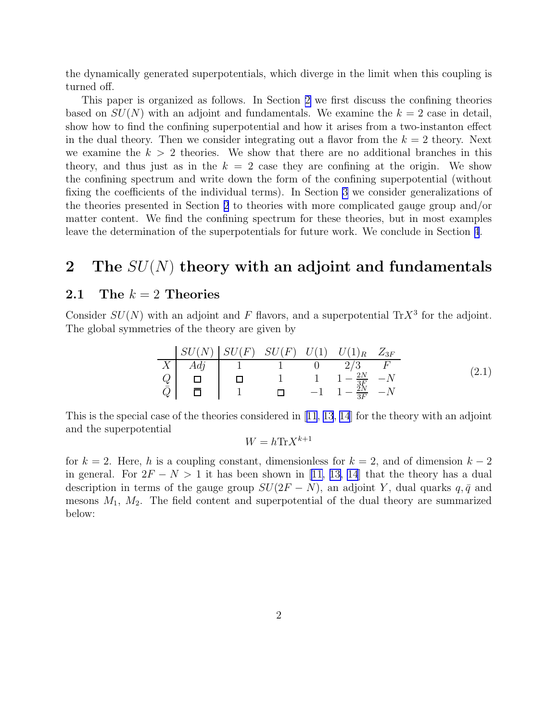the dynamically generated superpotentials, which diverge in the limit when this coupling is turned off.

This paper is organized as follows. In Section 2 we first discuss the confining theories based on  $SU(N)$  with an adjoint and fundamentals. We examine the  $k = 2$  case in detail, show how to find the confining superpotential and how it arises from a two-instanton effect in the dual theory. Then we consider integrating out a flavor from the  $k = 2$  theory. Next we examine the  $k > 2$  theories. We show that there are no additional branches in this theory, and thus just as in the  $k = 2$  case they are confining at the origin. We show the confining spectrum and write down the form of the confining superpotential (without fixing the coefficients of the individual terms). In Section [3](#page-13-0) we consider generalizations of the theories presented in Section 2 to theories with more complicated gauge group and/or matter content. We find the confining spectrum for these theories, but in most examples leave the determination of the superpotentials for future work. We conclude in Section [4](#page-23-0).

# 2 The  $SU(N)$  theory with an adjoint and fundamentals

### 2.1 The  $k = 2$  Theories

L

Consider  $SU(N)$  with an adjoint and F flavors, and a superpotential Tr $X<sup>3</sup>$  for the adjoint. The global symmetries of the theory are given by

$$
\begin{array}{c|ccccc}\n & SU(N) & SU(F) & SU(F) & U(1) & U(1)_R & Z_{3F} \\
\hline\nX & Adj & 1 & 1 & 0 & 2/3 & F \\
Q & \Box & \Box & 1 & 1 & 1 - \frac{2N}{3F} & -N \\
\bar{Q} & \bar{\Box} & 1 & \Box & -1 & 1 - \frac{3N}{3F} & -N\n\end{array}
$$
\n(2.1)

This is the special case of the theories considered in[[11](#page-25-0), [13](#page-25-0), [14](#page-25-0)] for the theory with an adjoint and the superpotential

$$
W = h \text{Tr} X^{k+1}
$$

for  $k = 2$ . Here, h is a coupling constant, dimensionless for  $k = 2$ , and of dimension  $k - 2$ in general. For  $2F - N > 1$  it has been shown in [\[11, 13, 14](#page-25-0)] that the theory has a dual description in terms of the gauge group  $SU(2F - N)$ , an adjoint Y, dual quarks q,  $\bar{q}$  and mesons  $M_1$ ,  $M_2$ . The field content and superpotential of the dual theory are summarized below: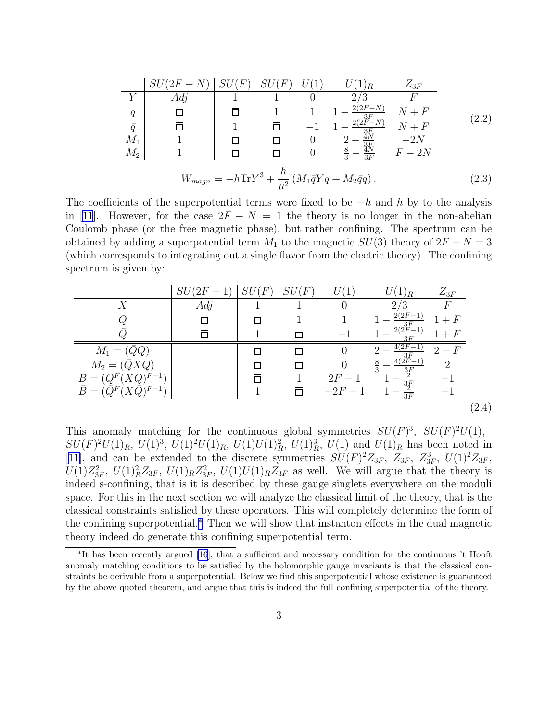<span id="page-3-0"></span>

|           |                                                                                                 |  | $\sqrt{F}$ |          |                                  | $Z_{3F}$ |       |  |  |
|-----------|-------------------------------------------------------------------------------------------------|--|------------|----------|----------------------------------|----------|-------|--|--|
|           | $Ad\eta$                                                                                        |  |            |          | 2/                               |          |       |  |  |
| q         |                                                                                                 |  |            |          | $2(2F-N)$                        | $+ F$    | (2.2) |  |  |
| $\bar{q}$ |                                                                                                 |  |            |          | $\frac{3F}{2(2F-N)}$             | $N+F$    |       |  |  |
| $M_1$     |                                                                                                 |  |            | $\theta$ |                                  | $-2N$    |       |  |  |
| $M_2$     |                                                                                                 |  |            | $\theta$ | $\frac{3F}{3F}$<br>$\frac{8}{3}$ | $F-2N$   |       |  |  |
|           | $W_{magn} = -h \text{Tr} Y^3 + \frac{h}{\mu^2} \left( M_1 \bar{q} Y q + M_2 \bar{q} q \right).$ |  |            |          |                                  |          |       |  |  |

The coefficients of the superpotential terms were fixed to be  $-h$  and h by to the analysis in[[11](#page-25-0)]. However, for the case  $2F - N = 1$  the theory is no longer in the non-abelian Coulomb phase (or the free magnetic phase), but rather confining. The spectrum can be obtained by adding a superpotential term  $M_1$  to the magnetic  $SU(3)$  theory of  $2F - N = 3$ (which corresponds to integrating out a single flavor from the electric theory). The confining spectrum is given by:

|                                          | $SU(2F-1)$ | $(F% {\mathcal{F}}(F))=\mathbb{E}(\mathcal{F}_{\infty})$<br>SL | SU(F)  | U(1)      | $(1)_R$                      | $Z_{3F}$ |       |
|------------------------------------------|------------|----------------------------------------------------------------|--------|-----------|------------------------------|----------|-------|
| Y                                        | Adj        |                                                                |        |           | 2/3                          |          |       |
|                                          | П          |                                                                |        |           | $2(2F-1)$                    | $1+F$    |       |
|                                          | Π          |                                                                | П      |           | $\frac{3F}{2(2F-1)}$<br>3F   | $1+F$    |       |
| $M_1 = (QQ)$                             |            |                                                                | П      |           | $4(2F -$                     | $2-F$    |       |
| $M_2 = (\bar Q X Q)$                     |            |                                                                | П      |           | $\frac{3F}{4(2F-1)}$<br>3 F  | റ        |       |
| $B = (Q^{F}(XQ)^{F-1})$                  |            |                                                                |        | $2F - 1$  |                              |          |       |
| $\bar{B} = (\bar{Q}^F (X\bar{Q})^{F-1})$ |            |                                                                | $\Box$ | $-2F + 1$ | $rac{3}{3F}$<br>$rac{2}{3F}$ |          |       |
|                                          |            |                                                                |        |           |                              |          | (2.4) |

This anomaly matching for the continuous global symmetries  $SU(F)^3$ ,  $SU(F)^2U(1)$ ,  $SU(F)^2U(1)_R$ ,  $U(1)^3$ ,  $U(1)^2U(1)_R$ ,  $U(1)U(1)_R^2$ ,  $U(1)_R^3$ ,  $U(1)$  and  $U(1)_R$  has been noted in [\[11\]](#page-25-0), and can be extended to the discrete symmetries  $SU(F)^2Z_{3F}$ ,  $Z_{3F}$ ,  $Z_{3F}^3$ ,  $U(1)^2Z_{3F}$ ,  $U(1)Z_{3F}^2$ ,  $U(1)_R^2Z_{3F}$ ,  $U(1)_RZ_{3F}^2$ ,  $U(1)U(1)_RZ_{3F}$  as well. We will argue that the theory is indeed s-confining, that is it is described by these gauge singlets everywhere on the moduli space. For this in the next section we will analyze the classical limit of the theory, that is the classical constraints satisfied by these operators. This will completely determine the form of the confining superpotential.<sup>∗</sup> Then we will show that instanton effects in the dual magnetic theory indeed do generate this confining superpotential term.

<sup>∗</sup> It has been recently argued [\[16](#page-25-0)], that a sufficient and necessary condition for the continuous 't Hooft anomaly matching conditions to be satisfied by the holomorphic gauge invariants is that the classical constraints be derivable from a superpotential. Below we find this superpotential whose existence is guaranteed by the above quoted theorem, and argue that this is indeed the full confining superpotential of the theory.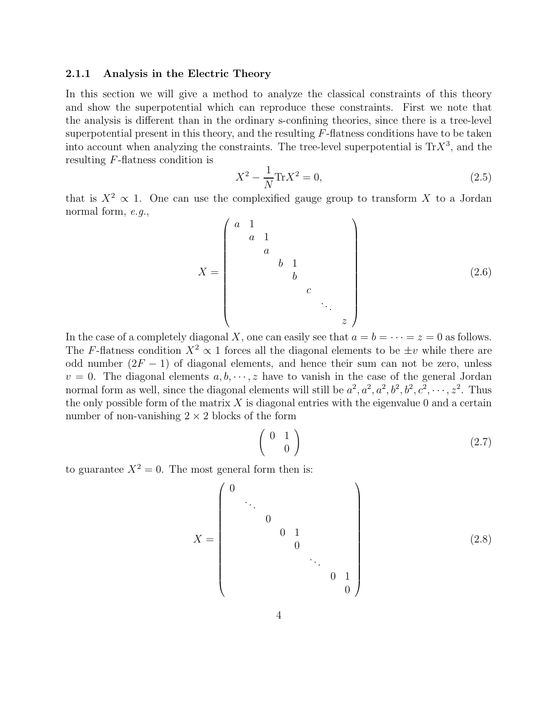#### <span id="page-4-0"></span>2.1.1 Analysis in the Electric Theory

In this section we will give a method to analyze the classical constraints of this theory and show the superpotential which can reproduce these constraints. First we note that the analysis is different than in the ordinary s-confining theories, since there is a tree-level superpotential present in this theory, and the resulting  $F$ -flatness conditions have to be taken into account when analyzing the constraints. The tree-level superpotential is  $\text{Tr} X^3$ , and the resulting F-flatness condition is

$$
X^2 - \frac{1}{N} \text{Tr} X^2 = 0,\tag{2.5}
$$

that is  $X^2 \propto 1$ . One can use the complexified gauge group to transform X to a Jordan normal form, e.g.,

X = a 1 a 1 a b 1 b c . . . z (2.6)

In the case of a completely diagonal X, one can easily see that  $a = b = \cdots = z = 0$  as follows. The F-flatness condition  $X^2 \propto 1$  forces all the diagonal elements to be  $\pm v$  while there are odd number  $(2F - 1)$  of diagonal elements, and hence their sum can not be zero, unless  $v = 0$ . The diagonal elements  $a, b, \dots, z$  have to vanish in the case of the general Jordan normal form as well, since the diagonal elements will still be  $a^2$ ,  $a^2$ ,  $a^2$ ,  $b^2$ ,  $b^2$ ,  $c^2$ ,  $\cdots$ ,  $z^2$ . Thus the only possible form of the matrix  $X$  is diagonal entries with the eigenvalue 0 and a certain number of non-vanishing  $2 \times 2$  blocks of the form

$$
\left(\begin{array}{cc} 0 & 1 \\ 0 & \end{array}\right) \tag{2.7}
$$

to guarantee  $X^2 = 0$ . The most general form then is:

$$
X = \begin{pmatrix} 0 & & & & & \\ & \ddots & & & & & \\ & & 0 & 1 & & & \\ & & & 0 & 1 & & \\ & & & & & \ddots & \\ & & & & & & 0 & 1 \\ & & & & & & & 0 \end{pmatrix}
$$
 (2.8)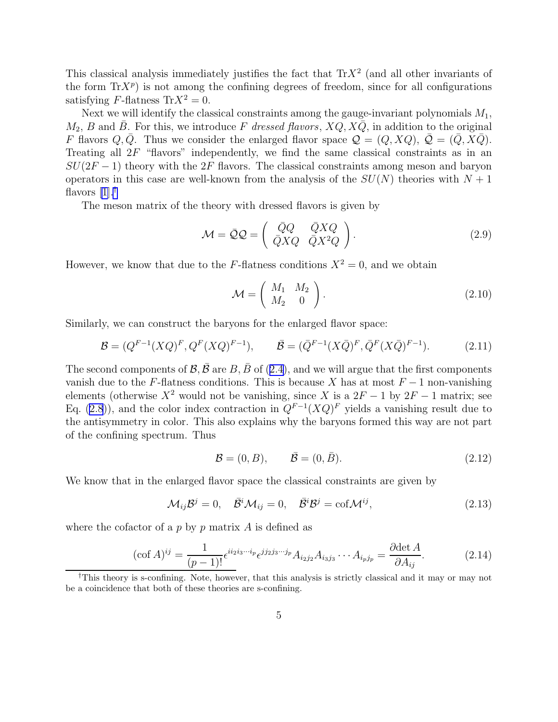<span id="page-5-0"></span>This classical analysis immediately justifies the fact that  $\text{Tr}X^2$  (and all other invariants of the form  $\text{Tr}X^p$ ) is not among the confining degrees of freedom, since for all configurations satisfying F-flatness  $Tr X^2 = 0$ .

Next we will identify the classical constraints among the gauge-invariant polynomials  $M_1$ ,  $M_2$ , B and  $\bar{B}$ . For this, we introduce F dressed flavors,  $XQ$ ,  $X\bar{Q}$ , in addition to the original F flavors  $Q, \bar{Q}$ . Thus we consider the enlarged flavor space  $\mathcal{Q} = (Q, XQ), \bar{\mathcal{Q}} = (\bar{Q}, X\bar{Q}).$ Treating all  $2F$  "flavors" independently, we find the same classical constraints as in an  $SU(2F-1)$  theory with the 2F flavors. The classical constraints among meson and baryon operators in this case are well-known from the analysis of the  $SU(N)$  theories with  $N+1$ flavors  $[1].^{\dagger}$ 

The meson matrix of the theory with dressed flavors is given by

$$
\mathcal{M} = \bar{\mathcal{Q}}\mathcal{Q} = \begin{pmatrix} \bar{Q}Q & \bar{Q}XQ \\ \bar{Q}XQ & \bar{Q}X^2Q \end{pmatrix}.
$$
 (2.9)

However, we know that due to the F-flatness conditions  $X^2 = 0$ , and we obtain

$$
\mathcal{M} = \left(\begin{array}{cc} M_1 & M_2 \\ M_2 & 0 \end{array}\right). \tag{2.10}
$$

Similarly, we can construct the baryons for the enlarged flavor space:

$$
\mathcal{B} = (Q^{F-1}(XQ)^F, Q^F(XQ)^{F-1}), \qquad \bar{\mathcal{B}} = (\bar{Q}^{F-1}(X\bar{Q})^F, \bar{Q}^F(X\bar{Q})^{F-1}). \tag{2.11}
$$

Thesecond components of  $\mathcal{B}, \bar{\mathcal{B}}$  are  $B, \bar{B}$  of ([2.4\)](#page-3-0), and we will argue that the first components vanish due to the F-flatness conditions. This is because X has at most  $F-1$  non-vanishing elements (otherwise  $X^2$  would not be vanishing, since X is a  $2F - 1$  by  $2F - 1$  matrix; see Eq. [\(2.8](#page-4-0))), and the color index contraction in  $Q^{F-1}(XQ)^F$  yields a vanishing result due to the antisymmetry in color. This also explains why the baryons formed this way are not part of the confining spectrum. Thus

$$
\mathcal{B} = (0, B), \qquad \bar{\mathcal{B}} = (0, \bar{B}). \tag{2.12}
$$

We know that in the enlarged flavor space the classical constraints are given by

$$
\mathcal{M}_{ij}\mathcal{B}^j = 0, \quad \bar{\mathcal{B}}^i \mathcal{M}_{ij} = 0, \quad \bar{\mathcal{B}}^i \mathcal{B}^j = \text{cof} \mathcal{M}^{ij}, \tag{2.13}
$$

where the cofactor of a  $p$  by  $p$  matrix  $A$  is defined as

$$
(\cot A)^{ij} = \frac{1}{(p-1)!} \epsilon^{i i_2 i_3 \cdots i_p} \epsilon^{j j_2 j_3 \cdots j_p} A_{i_2 j_2} A_{i_3 j_3} \cdots A_{i_p j_p} = \frac{\partial \det A}{\partial A_{ij}}.
$$
 (2.14)

<sup>†</sup>This theory is s-confining. Note, however, that this analysis is strictly classical and it may or may not be a coincidence that both of these theories are s-confining.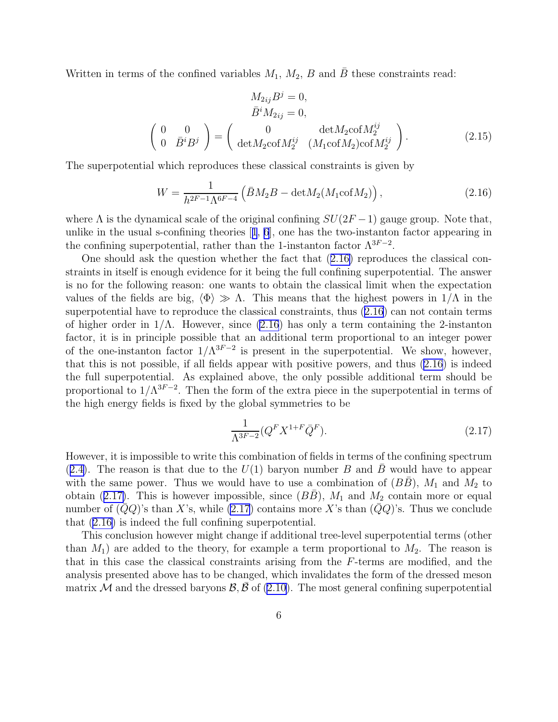<span id="page-6-0"></span>Written in terms of the confined variables  $M_1$ ,  $M_2$ ,  $B$  and  $\bar{B}$  these constraints read:

$$
M_{2ij}B^j = 0,
$$
  
\n
$$
\bar{B}^i M_{2ij} = 0,
$$
  
\n
$$
\begin{pmatrix} 0 & 0 \\ 0 & \bar{B}^i B^j \end{pmatrix} = \begin{pmatrix} 0 & \det M_2 \text{cof} M_2^{ij} \\ \det M_2 \text{cof} M_2^{ij} & (M_1 \text{cof} M_2) \text{cof} M_2^{ij} \end{pmatrix}.
$$
 (2.15)

The superpotential which reproduces these classical constraints is given by

$$
W = \frac{1}{h^{2F-1}\Lambda^{6F-4}} \left( \bar{B}M_2B - \det M_2(M_1 \text{cof}M_2) \right),\tag{2.16}
$$

where  $\Lambda$  is the dynamical scale of the original confining  $SU(2F-1)$  gauge group. Note that, unlike in the usual s-confining theories[[1](#page-24-0), [6](#page-24-0)], one has the two-instanton factor appearing in the confining superpotential, rather than the 1-instanton factor  $\Lambda^{3F-2}$ .

One should ask the question whether the fact that (2.16) reproduces the classical constraints in itself is enough evidence for it being the full confining superpotential. The answer is no for the following reason: one wants to obtain the classical limit when the expectation values of the fields are big,  $\langle \Phi \rangle \gg \Lambda$ . This means that the highest powers in 1/ $\Lambda$  in the superpotential have to reproduce the classical constraints, thus (2.16) can not contain terms of higher order in  $1/\Lambda$ . However, since (2.16) has only a term containing the 2-instanton factor, it is in principle possible that an additional term proportional to an integer power of the one-instanton factor  $1/\Lambda^{3F-2}$  is present in the superpotential. We show, however, that this is not possible, if all fields appear with positive powers, and thus (2.16) is indeed the full superpotential. As explained above, the only possible additional term should be proportional to  $1/\Lambda^{3F-2}$ . Then the form of the extra piece in the superpotential in terms of the high energy fields is fixed by the global symmetries to be

$$
\frac{1}{\Lambda^{3F-2}} (Q^F X^{1+F} \bar{Q}^F).
$$
\n(2.17)

However, it is impossible to write this combination of fields in terms of the confining spectrum  $(2.4)$  $(2.4)$ . The reason is that due to the  $U(1)$  baryon number B and B would have to appear with the same power. Thus we would have to use a combination of  $(B\overline{B})$ ,  $M_1$  and  $M_2$  to obtain (2.17). This is however impossible, since  $(B\overline{B})$ ,  $M_1$  and  $M_2$  contain more or equal number of  $(QQ)$ 's than X's, while (2.17) contains more X's than  $(QQ)$ 's. Thus we conclude that (2.16) is indeed the full confining superpotential.

This conclusion however might change if additional tree-level superpotential terms (other than  $M_1$ ) are added to the theory, for example a term proportional to  $M_2$ . The reason is that in this case the classical constraints arising from the F-terms are modified, and the analysis presented above has to be changed, which invalidates the form of the dressed meson matrix M and the dressed baryons  $\mathcal{B}, \mathcal{B}$  of [\(2.10](#page-5-0)). The most general confining superpotential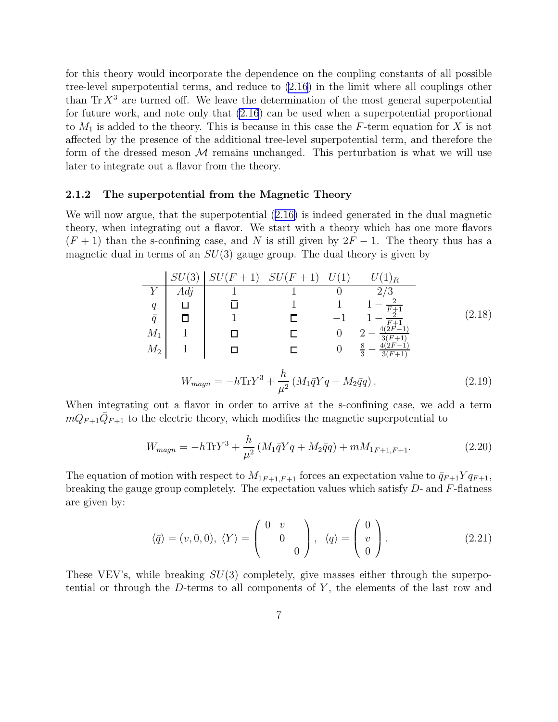for this theory would incorporate the dependence on the coupling constants of all possible tree-level superpotential terms, and reduce to [\(2.16\)](#page-6-0) in the limit where all couplings other than  $\text{Tr } X^3$  are turned off. We leave the determination of the most general superpotential for future work, and note only that [\(2.16](#page-6-0)) can be used when a superpotential proportional to  $M_1$  is added to the theory. This is because in this case the F-term equation for X is not affected by the presence of the additional tree-level superpotential term, and therefore the form of the dressed meson  $M$  remains unchanged. This perturbation is what we will use later to integrate out a flavor from the theory.

#### 2.1.2 The superpotential from the Magnetic Theory

We will now argue, that the superpotential([2.16\)](#page-6-0) is indeed generated in the dual magnetic theory, when integrating out a flavor. We start with a theory which has one more flavors  $(F + 1)$  than the s-confining case, and N is still given by  $2F - 1$ . The theory thus has a magnetic dual in terms of an  $SU(3)$  gauge group. The dual theory is given by

$$
\begin{array}{c|cccc}\nSU(3) & SU(F+1) & SU(F+1) & U(1) & U(1)_R \\
\hline\nY & Adj & 1 & 1 & 0 & 2/3 \\
q & \Box & \Box & 1 & 1 & 1-\frac{2}{F+1} \\
\bar{q} & \bar{\Box} & 1 & \bar{\Box} & -1 & 1-\frac{2}{F+1} \\
M_1 & 1 & \Box & \Box & 0 & 2-\frac{4(2F-1)}{3(F+1)} \\
M_2 & 1 & \Box & \Box & 0 & \frac{8}{3}-\frac{4(2F-1)}{3(F+1)}\n\end{array} \tag{2.18}
$$

$$
W_{magn} = -h \text{Tr} Y^3 + \frac{h}{\mu^2} \left( M_1 \bar{q} Y q + M_2 \bar{q} q \right). \tag{2.19}
$$

When integrating out a flavor in order to arrive at the s-confining case, we add a term  $mQ_{F+1}\overline{Q}_{F+1}$  to the electric theory, which modifies the magnetic superpotential to

$$
W_{magn} = -h \text{Tr} Y^3 + \frac{h}{\mu^2} \left( M_1 \bar{q} Y q + M_2 \bar{q} q \right) + m M_{1F+1, F+1}.
$$
 (2.20)

The equation of motion with respect to  $M_{1F+1,F+1}$  forces an expectation value to  $\bar{q}_{F+1}Yq_{F+1}$ , breaking the gauge group completely. The expectation values which satisfy  $D$ - and  $F$ -flatness are given by:

$$
\langle \bar{q} \rangle = (v, 0, 0), \ \langle Y \rangle = \begin{pmatrix} 0 & v \\ & 0 \\ & & 0 \end{pmatrix}, \ \langle q \rangle = \begin{pmatrix} 0 \\ v \\ 0 \end{pmatrix}.
$$
 (2.21)

These VEV's, while breaking  $SU(3)$  completely, give masses either through the superpotential or through the D-terms to all components of  $Y$ , the elements of the last row and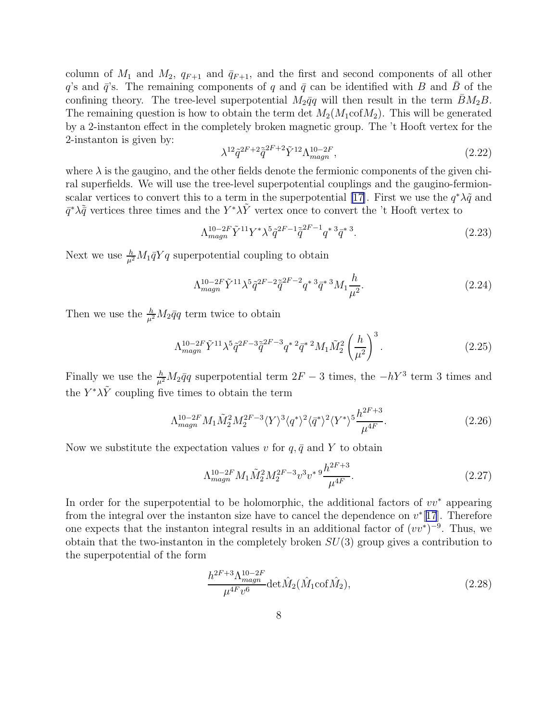column of  $M_1$  and  $M_2$ ,  $q_{F+1}$  and  $\bar{q}_{F+1}$ , and the first and second components of all other  $q$ 's and  $\bar{q}$ 's. The remaining components of q and  $\bar{q}$  can be identified with B and B of the confining theory. The tree-level superpotential  $M_2\bar{q}q$  will then result in the term  $\bar{B}M_2B$ . The remaining question is how to obtain the term det  $M_2(M_1\text{cof}M_2)$ . This will be generated by a 2-instanton effect in the completely broken magnetic group. The 't Hooft vertex for the 2-instanton is given by:

$$
\lambda^{12}\tilde{q}^{2F+2}\tilde{\bar{q}}^{2F+2}\tilde{Y}^{12}\Lambda_{magn}^{10-2F},\tag{2.22}
$$

where  $\lambda$  is the gaugino, and the other fields denote the fermionic components of the given chiral superfields. We will use the tree-level superpotential couplings and the gaugino-fermion-scalar vertices to convert this to a term in the superpotential [\[17\]](#page-25-0). First we use the  $q^*\lambda\tilde{q}$  and  $\bar{q}^*\lambda\tilde{\bar{q}}$  vertices three times and the  $Y^*\lambda\tilde{Y}$  vertex once to convert the 't Hooft vertex to

$$
\Lambda_{magn}^{10-2F} \tilde{Y}^{11} Y^* \lambda^5 \tilde{q}^{2F-1} \tilde{\bar{q}}^{2F-1} q^{*3} \bar{q}^{*3}.
$$
\n(2.23)

Next we use  $\frac{h}{\mu^2}M_1\bar{q}Yq$  superpotential coupling to obtain

$$
\Lambda_{magn}^{10-2F} \tilde{Y}^{11} \lambda^5 \tilde{q}^{2F-2} \tilde{q}^{2F-2} q^{*3} \bar{q}^{*3} M_1 \frac{h}{\mu^2}.
$$
\n(2.24)

Then we use the  $\frac{h}{\mu^2}M_2\bar{q}q$  term twice to obtain

$$
\Lambda_{magn}^{10-2F} \tilde{Y}^{11} \lambda^5 \tilde{q}^{2F-3} \tilde{q}^{2F-3} q^{*2} \bar{q}^{*2} M_1 \tilde{M}_2^2 \left(\frac{h}{\mu^2}\right)^3.
$$
 (2.25)

Finally we use the  $\frac{h}{\mu^2}M_2\bar{q}q$  superpotential term  $2F-3$  times, the  $-hY^3$  term 3 times and the  $Y^*\lambda\tilde{Y}$  coupling five times to obtain the term

$$
\Lambda_{magn}^{10-2F} M_1 \tilde{M}_2^2 M_2^{2F-3} \langle Y \rangle^3 \langle q^* \rangle^2 \langle \bar{q}^* \rangle^2 \langle Y^* \rangle^5 \frac{h^{2F+3}}{\mu^{4F}}.
$$
 (2.26)

Now we substitute the expectation values v for  $q, \bar{q}$  and Y to obtain

$$
\Lambda_{magn}^{10-2F} M_1 \tilde{M}_2^2 M_2^{2F-3} v^3 v^* \, 9 \frac{h^{2F+3}}{\mu^{4F}}.\tag{2.27}
$$

In order for the superpotential to be holomorphic, the additional factors of  $vv^*$  appearing from the integral over the instanton size have to cancel the dependence on  $v^*[17]$  $v^*[17]$  $v^*[17]$ . Therefore one expects that the instanton integral results in an additional factor of  $(vv^*)^{-9}$ . Thus, we obtain that the two-instanton in the completely broken  $SU(3)$  group gives a contribution to the superpotential of the form

$$
\frac{h^{2F+3}\Lambda_{magn}^{10-2F}}{\mu^{4F}v^6} \text{det}\hat{M}_2(\hat{M}_1\text{cof}\hat{M}_2),\tag{2.28}
$$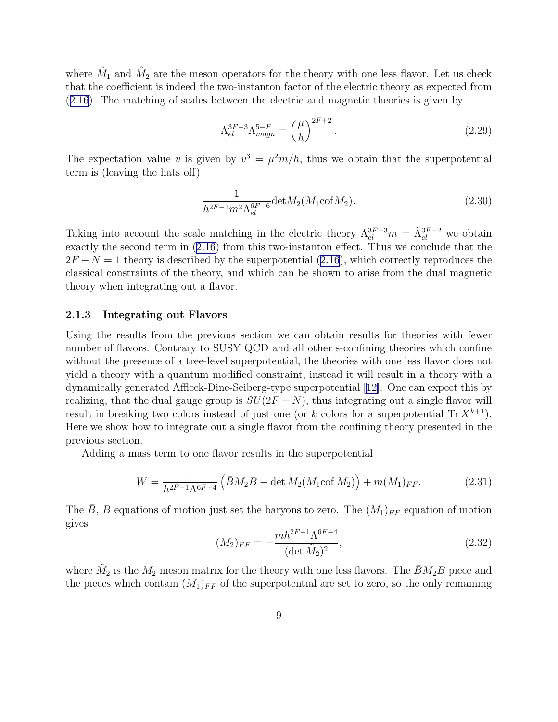where  $\hat{M}_1$  and  $\hat{M}_2$  are the meson operators for the theory with one less flavor. Let us check that the coefficient is indeed the two-instanton factor of the electric theory as expected from ([2.16](#page-6-0)). The matching of scales between the electric and magnetic theories is given by

$$
\Lambda_{el}^{3F-3} \Lambda_{magn}^{5-F} = \left(\frac{\mu}{h}\right)^{2F+2}.
$$
\n(2.29)

The expectation value v is given by  $v^3 = \mu^2 m/h$ , thus we obtain that the superpotential term is (leaving the hats off)

$$
\frac{1}{h^{2F-1}m^2\Lambda_{el}^{6F-6}}\text{det}M_2(M_1\text{cof}M_2). \tag{2.30}
$$

Taking into account the scale matching in the electric theory  $\Lambda_{el}^{3F-3}m = \tilde{\Lambda}_{el}^{3F-2}$  we obtain exactly the second term in([2.16\)](#page-6-0) from this two-instanton effect. Thus we conclude that the  $2F - N = 1$  $2F - N = 1$  $2F - N = 1$  theory is described by the superpotential ([2.16\)](#page-6-0), which correctly reproduces the classical constraints of the theory, and which can be shown to arise from the dual magnetic theory when integrating out a flavor.

#### 2.1.3 Integrating out Flavors

Using the results from the previous section we can obtain results for theories with fewer number of flavors. Contrary to SUSY QCD and all other s-confining theories which confine without the presence of a tree-level superpotential, the theories with one less flavor does not yield a theory with a quantum modified constraint, instead it will result in a theory with a dynamically generated Affleck-Dine-Seiberg-type superpotential [\[12\]](#page-25-0). One can expect this by realizing, that the dual gauge group is  $SU(2F - N)$ , thus integrating out a single flavor will result in breaking two colors instead of just one (or k colors for a superpotential  $\text{Tr } X^{k+1}$ ). Here we show how to integrate out a single flavor from the confining theory presented in the previous section.

Adding a mass term to one flavor results in the superpotential

$$
W = \frac{1}{h^{2F-1}\Lambda^{6F-4}} \left( \bar{B}M_2B - \det M_2(M_1 \text{cof }M_2) \right) + m(M_1)_{FF}.
$$
 (2.31)

The  $\bar{B}$ , B equations of motion just set the baryons to zero. The  $(M_1)_{FF}$  equation of motion gives

$$
(M_2)_{FF} = -\frac{mh^{2F-1}\Lambda^{6F-4}}{(\det \tilde{M}_2)^2},\tag{2.32}
$$

where  $\tilde{M}_2$  is the  $M_2$  meson matrix for the theory with one less flavors. The  $\bar{B}M_2B$  piece and the pieces which contain  $(M_1)_{FF}$  of the superpotential are set to zero, so the only remaining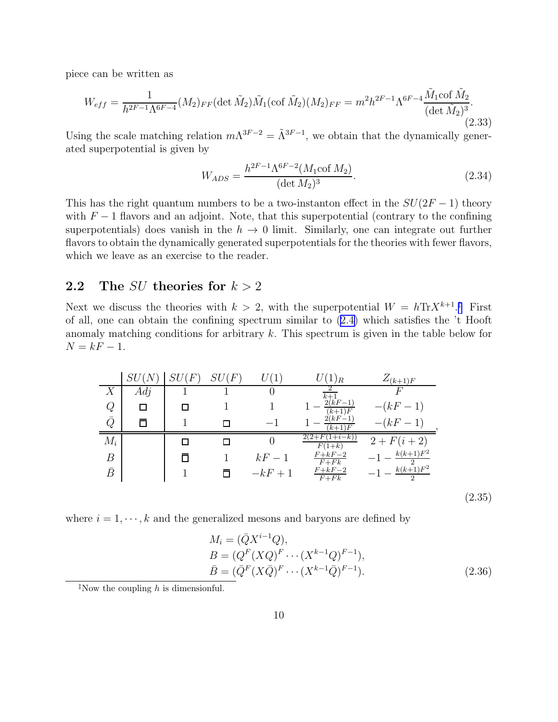piece can be written as

$$
W_{eff} = \frac{1}{h^{2F-1}\Lambda^{6F-4}} (M_2)_{FF} (\det \tilde{M}_2) \tilde{M}_1(\cot \tilde{M}_2) (M_2)_{FF} = m^2 h^{2F-1} \Lambda^{6F-4} \frac{\tilde{M}_1 \cot \tilde{M}_2}{(\det \tilde{M}_2)^3}.
$$
\n(2.33)

Using the scale matching relation  $m\Lambda^{3F-2} = \tilde{\Lambda}^{3F-1}$ , we obtain that the dynamically generated superpotential is given by

$$
W_{ADS} = \frac{h^{2F-1} \Lambda^{6F-2} (M_1 \text{cof } M_2)}{(\det M_2)^3}.
$$
 (2.34)

This has the right quantum numbers to be a two-instanton effect in the  $SU(2F-1)$  theory with  $F-1$  flavors and an adjoint. Note, that this superpotential (contrary to the confining superpotentials) does vanish in the  $h \to 0$  limit. Similarly, one can integrate out further flavors to obtain the dynamically generated superpotentials for the theories with fewer flavors, which we leave as an exercise to the reader.

### 2.2 The SU theories for  $k > 2$

Next we discuss the theories with  $k > 2$ , with the superpotential  $W = h \text{Tr} X^{k+1}$ .<sup>†</sup> First of all, one can obtain the confining spectrum similar to([2.4\)](#page-3-0) which satisfies the 't Hooft anomaly matching conditions for arbitrary  $k$ . This spectrum is given in the table below for  $N = kF - 1.$ 

|           | $\mathit{SL}$     | ${}^\prime F$ | $\sqrt[r]{F}$<br>SU |         | $(1)_R$               | $Z_{(k+1)F}$             |        |
|-----------|-------------------|---------------|---------------------|---------|-----------------------|--------------------------|--------|
| X         | Adj               |               |                     |         | $\overline{k+1}$      | F                        |        |
| Q         |                   |               |                     |         | $2(kF-1)$<br>$(k+1)F$ | $-(kF-1)$                |        |
| $\bar{Q}$ | $\overline{\Box}$ |               |                     |         | $2(kF-1)$<br>$(k+1)F$ | $-(kF-1)$                |        |
| $M_i$     |                   |               |                     |         | $(1+i-k)$<br>$F(1+k)$ | $2 + F(i + 2)$           |        |
| В         |                   |               |                     | $kF-1$  | $F+kF-2$<br>$F + Fk$  | $-1-\frac{k(k+1)F^2}{2}$ |        |
| $\bar{B}$ |                   |               |                     | $-kF+1$ | $\frac{F+kF-2}{F+Fk}$ | $k(k+1)F^2$              |        |
|           |                   |               |                     |         |                       |                          | (2.35) |

where  $i = 1, \dots, k$  and the generalized mesons and baryons are defined by

$$
M_i = (\bar{Q}X^{i-1}Q),
$$
  
\n
$$
B = (Q^F(XQ)^F \cdots (X^{k-1}Q)^{F-1}),
$$
  
\n
$$
\bar{B} = (\bar{Q}^F(X\bar{Q})^F \cdots (X^{k-1}\bar{Q})^{F-1}).
$$
\n(2.36)

<sup>‡</sup>Now the coupling  $h$  is dimensionful.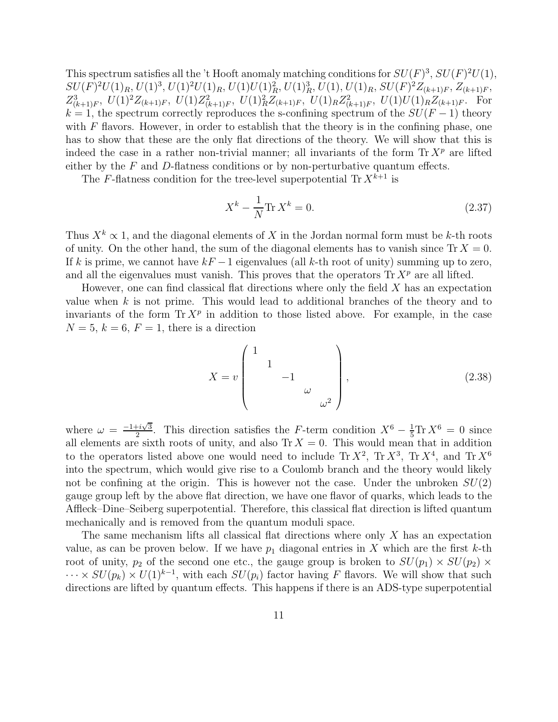This spectrum satisfies all the 't Hooft anomaly matching conditions for  $SU(F)^3$ ,  $SU(F)^2U(1)$ ,  $SU(F)^2U(1)_R, U(1)^3, U(1)^2U(1)_R, U(1)U(1)_R^2, U(1)_R^3, U(1), U(1)_R, SU(F)^2Z_{(k+1)F}, Z_{(k+1)F}$  $Z_{(k+1)F}^3$ ,  $U(1)^2 Z_{(k+1)F}$ ,  $U(1)Z_{(k+1)F}^2$ ,  $U(1)_R Z_{(k+1)F}^2$ ,  $U(1)_R Z_{(k+1)F}^2$ ,  $U(1)U(1)_R Z_{(k+1)F}$ . For  $k = 1$ , the spectrum correctly reproduces the s-confining spectrum of the  $SU(F-1)$  theory with  $F$  flavors. However, in order to establish that the theory is in the confining phase, one has to show that these are the only flat directions of the theory. We will show that this is indeed the case in a rather non-trivial manner; all invariants of the form  $\text{Tr } X^p$  are lifted either by the  $F$  and  $D$ -flatness conditions or by non-perturbative quantum effects.

The F-flatness condition for the tree-level superpotential Tr  $X^{k+1}$  is

$$
X^{k} - \frac{1}{N} \text{Tr } X^{k} = 0.
$$
 (2.37)

Thus  $X^k \propto 1$ , and the diagonal elements of X in the Jordan normal form must be k-th roots of unity. On the other hand, the sum of the diagonal elements has to vanish since  $\text{Tr } X = 0$ . If k is prime, we cannot have  $kF - 1$  eigenvalues (all k-th root of unity) summing up to zero, and all the eigenvalues must vanish. This proves that the operators  $\text{Tr } X^p$  are all lifted.

However, one can find classical flat directions where only the field  $X$  has an expectation value when  $k$  is not prime. This would lead to additional branches of the theory and to invariants of the form  $\text{Tr } X^p$  in addition to those listed above. For example, in the case  $N = 5, k = 6, F = 1$ , there is a direction

$$
X = v \begin{pmatrix} 1 & & & \\ & 1 & & \\ & & -1 & \\ & & & \omega \\ & & & & \omega^2 \end{pmatrix}, \qquad (2.38)
$$

where  $\omega = \frac{-1+i\sqrt{3}}{2}$  $\frac{1+i\sqrt{3}}{2}$ . This direction satisfies the F-term condition  $X^6 - \frac{1}{5} \text{Tr } X^6 = 0$  since all elements are sixth roots of unity, and also  $\text{Tr } X = 0$ . This would mean that in addition to the operators listed above one would need to include  $\text{Tr } X^2$ ,  $\text{Tr } X^3$ ,  $\text{Tr } X^4$ , and  $\text{Tr } X^6$ into the spectrum, which would give rise to a Coulomb branch and the theory would likely not be confining at the origin. This is however not the case. Under the unbroken  $SU(2)$ gauge group left by the above flat direction, we have one flavor of quarks, which leads to the Affleck–Dine–Seiberg superpotential. Therefore, this classical flat direction is lifted quantum mechanically and is removed from the quantum moduli space.

The same mechanism lifts all classical flat directions where only X has an expectation value, as can be proven below. If we have  $p_1$  diagonal entries in X which are the first k-th root of unity,  $p_2$  of the second one etc., the gauge group is broken to  $SU(p_1) \times SU(p_2) \times$  $\cdots \times SU(p_k) \times U(1)^{k-1}$ , with each  $SU(p_i)$  factor having F flavors. We will show that such directions are lifted by quantum effects. This happens if there is an ADS-type superpotential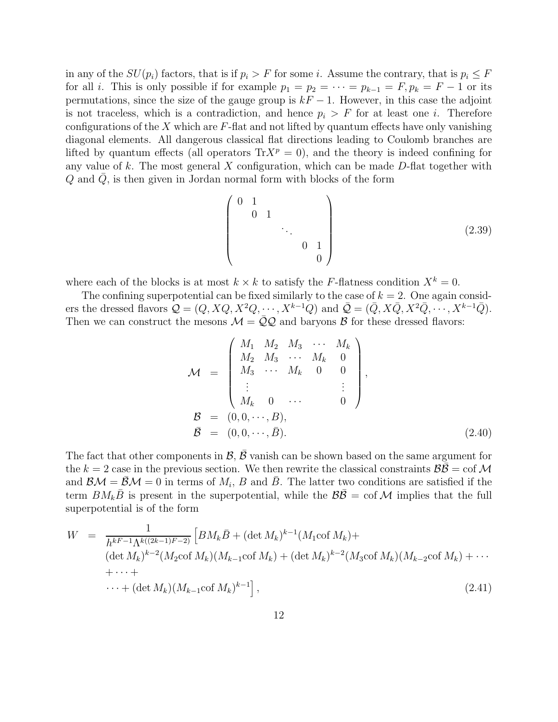in any of the  $SU(p_i)$  factors, that is if  $p_i > F$  for some i. Assume the contrary, that is  $p_i \leq F$ for all *i*. This is only possible if for example  $p_1 = p_2 = \cdots = p_{k-1} = F$ ,  $p_k = F - 1$  or its permutations, since the size of the gauge group is  $kF - 1$ . However, in this case the adjoint is not traceless, which is a contradiction, and hence  $p_i > F$  for at least one i. Therefore configurations of the X which are  $F$ -flat and not lifted by quantum effects have only vanishing diagonal elements. All dangerous classical flat directions leading to Coulomb branches are lifted by quantum effects (all operators  $Tr X^p = 0$ ), and the theory is indeed confining for any value of  $k$ . The most general  $X$  configuration, which can be made  $D$ -flat together with  $Q$  and  $Q$ , is then given in Jordan normal form with blocks of the form

$$
\begin{pmatrix}\n0 & 1 & & & & \\
 & 0 & 1 & & & \\
 & & & \ddots & & \\
 & & & & 0 & 1 \\
 & & & & & 0\n\end{pmatrix}
$$
\n(2.39)

where each of the blocks is at most  $k \times k$  to satisfy the F-flatness condition  $X^k = 0$ .

The confining superpotential can be fixed similarly to the case of  $k = 2$ . One again considers the dressed flavors  $\mathcal{Q} = (Q, XQ, X^2Q, \cdots, X^{k-1}Q)$  and  $\bar{\mathcal{Q}} = (\bar{Q}, X\bar{Q}, X^2\bar{Q}, \cdots, X^{k-1}\bar{Q})$ . Then we can construct the mesons  $\mathcal{M} = \overline{Q}Q$  and baryons B for these dressed flavors:

$$
\mathcal{M} = \begin{pmatrix} M_1 & M_2 & M_3 & \cdots & M_k \\ M_2 & M_3 & \cdots & M_k & 0 \\ M_3 & \cdots & M_k & 0 & 0 \\ \vdots & & & & \vdots \\ M_k & 0 & \cdots & 0 \end{pmatrix},
$$
  

$$
\mathcal{B} = (0, 0, \cdots, B),
$$
  

$$
\mathcal{B} = (0, 0, \cdots, \bar{B}).
$$
 (2.40)

The fact that other components in  $\mathcal{B}, \bar{\mathcal{B}}$  vanish can be shown based on the same argument for the  $k = 2$  case in the previous section. We then rewrite the classical constraints  $\mathcal{B}\mathcal{B} = \text{cof }\mathcal{M}$ and  $\mathcal{BM} = \bar{\mathcal{BM}} = 0$  in terms of  $M_i$ , B and  $\bar{B}$ . The latter two conditions are satisfied if the term  $BM_kB$  is present in the superpotential, while the  $BB = \text{cof } \mathcal{M}$  implies that the full superpotential is of the form

$$
W = \frac{1}{h^{kF-1}\Lambda^{k((2k-1)F-2)}} \left[ BM_k \bar{B} + (\det M_k)^{k-1} (M_1 \text{cof } M_k) + (det M_k)^{k-2} (M_2 \text{cof } M_k)(M_{k-1} \text{cof } M_k) + (\det M_k)^{k-2} (M_3 \text{cof } M_k)(M_{k-2} \text{cof } M_k) + \cdots + (det M_k)(M_{k-1} \text{cof } M_k)^{k-1} \right],
$$
\n(2.41)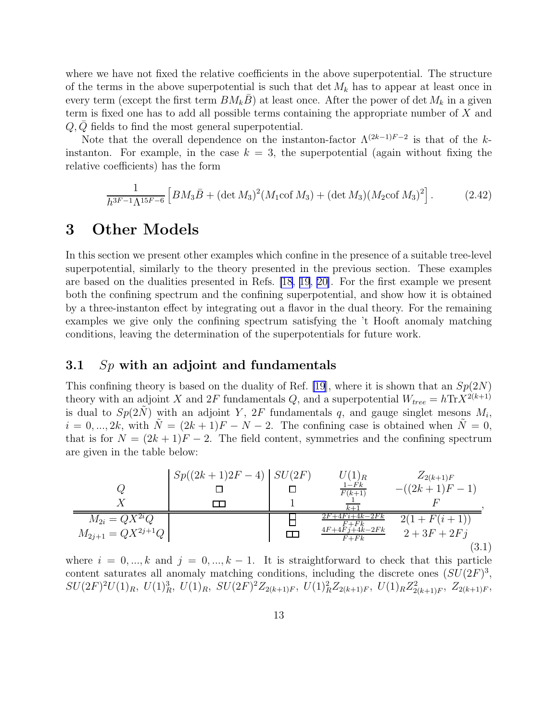<span id="page-13-0"></span>where we have not fixed the relative coefficients in the above superpotential. The structure of the terms in the above superpotential is such that  $\det M_k$  has to appear at least once in every term (except the first term  $BM_kB$ ) at least once. After the power of det  $M_k$  in a given term is fixed one has to add all possible terms containing the appropriate number of X and  $Q, Q$  fields to find the most general superpotential.

Note that the overall dependence on the instanton-factor  $\Lambda^{(2k-1)F-2}$  is that of the kinstanton. For example, in the case  $k = 3$ , the superpotential (again without fixing the relative coefficients) has the form

$$
\frac{1}{h^{3F-1}\Lambda^{15F-6}} \left[ BM_3 \bar{B} + (\det M_3)^2 (M_1 \cot M_3) + (\det M_3)(M_2 \cot M_3)^2 \right].
$$
 (2.42)

### 3 Other Models

In this section we present other examples which confine in the presence of a suitable tree-level superpotential, similarly to the theory presented in the previous section. These examples are based on the dualities presented in Refs. [\[18](#page-25-0), [19](#page-25-0), [20\]](#page-25-0). For the first example we present both the confining spectrum and the confining superpotential, and show how it is obtained by a three-instanton effect by integrating out a flavor in the dual theory. For the remaining examples we give only the confining spectrum satisfying the 't Hooft anomaly matching conditions, leaving the determination of the superpotentials for future work.

#### 3.1  $Sp$  with an adjoint and fundamentals

This confining theory is based on the duality of Ref. [\[19\]](#page-25-0), where it is shown that an  $Sp(2N)$ theory with an adjoint X and 2F fundamentals Q, and a superpotential  $W_{tree} = h \text{Tr} X^{2(k+1)}$ is dual to  $Sp(2\tilde{N})$  with an adjoint Y,  $2F$  fundamentals q, and gauge singlet mesons  $M_i$ ,  $i = 0, ..., 2k$ , with  $\tilde{N} = (2k + 1)F - N - 2$ . The confining case is obtained when  $\tilde{N} = 0$ , that is for  $N = (2k + 1)F - 2$ . The field content, symmetries and the confining spectrum are given in the table below:

$$
Q \n\underbrace{X}_{M_{2i} = QX^{2i}Q} \n\underbrace{B} \n\underbrace{Sp((2k+1)2F-4)}_{1} \n\underbrace{SU(2F)}_{F(k+1)} \n\underbrace{U(1)_R}_{F(k+1)} \n\underbrace{Z_{2(k+1)F}}_{F(k+1)F-1} \n\underbrace{Z_{2(k+1)F}}_{F(k+1)F-1},
$$
\n
$$
\underline{M_{2i} = QX^{2i}Q} \n\underbrace{B} \n\underbrace{ZF+4F^{+}R}_{4F+4K-2Fk} \n\underbrace{Z(1+F(i+1))}_{2+3F+2Fj},
$$
\n
$$
M_{2j+1} = QX^{2j+1}Q \n\underbrace{F+F_{k}^{F}}_{F+Fk} \n\underbrace{Z_{2(k+1)F}}_{2+3F+2Fj},
$$
\n(3.1)

where  $i = 0, ..., k$  and  $j = 0, ..., k - 1$ . It is straightforward to check that this particle content saturates all anomaly matching conditions, including the discrete ones  $(SU(2F)^3)$ ,  $SU(2F)^2U(1)_R, U(1)_R^3, U(1)_R, SU(2F)^2Z_{2(k+1)F}, U(1)_R^2Z_{2(k+1)F}, U(1)_RZ_{2(k+1)F}^2, Z_{2(k+1)F}$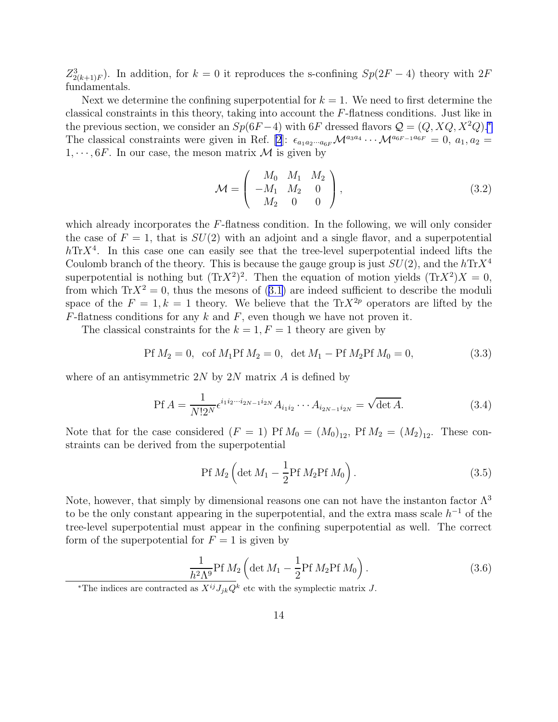<span id="page-14-0"></span> $Z_{2(k+1)F}^{3}$ ). In addition, for  $k=0$  it reproduces the s-confining  $Sp(2F-4)$  theory with  $2F$ fundamentals.

Next we determine the confining superpotential for  $k = 1$ . We need to first determine the classical constraints in this theory, taking into account the F-flatness conditions. Just like in the previous section, we consider an  $Sp(6F-4)$  with 6F dressed flavors  $\mathcal{Q} = (Q, XQ, X^2Q)^{*}$ The classical constraints were given in Ref. [\[2](#page-24-0)]:  $\epsilon_{a_1a_2\cdots a_{6F}}\mathcal{M}^{a_3a_4}\cdots \mathcal{M}^{a_{6F-1}a_{6F}}=0$ ,  $a_1, a_2=$  $1, \dots, 6F$ . In our case, the meson matrix M is given by

$$
\mathcal{M} = \begin{pmatrix} M_0 & M_1 & M_2 \\ -M_1 & M_2 & 0 \\ M_2 & 0 & 0 \end{pmatrix},
$$
\n(3.2)

which already incorporates the F-flatness condition. In the following, we will only consider the case of  $F = 1$ , that is  $SU(2)$  with an adjoint and a single flavor, and a superpotential  $h\text{Tr}X^4$ . In this case one can easily see that the tree-level superpotential indeed lifts the Coulomb branch of the theory. This is because the gauge group is just  $SU(2)$ , and the  $h\text{Tr}X^4$ superpotential is nothing but  $(\text{Tr}X^2)^2$ . Then the equation of motion yields  $(\text{Tr}X^2)X = 0$ , fromwhich  $\text{Tr}X^2 = 0$ , thus the mesons of ([3.1\)](#page-13-0) are indeed sufficient to describe the moduli space of the  $F = 1, k = 1$  theory. We believe that the Tr $X^{2p}$  operators are lifted by the  $F$ -flatness conditions for any k and F, even though we have not proven it.

The classical constraints for the  $k = 1, F = 1$  theory are given by

$$
Pf M_2 = 0, \text{ cof } M_1 Pf M_2 = 0, \text{ det } M_1 - Pf M_2 Pf M_0 = 0,
$$
\n(3.3)

where of an antisymmetric  $2N$  by  $2N$  matrix A is defined by

$$
\text{Pf } A = \frac{1}{N!2^N} \epsilon^{i_1 i_2 \cdots i_{2N-1} i_{2N}} A_{i_1 i_2} \cdots A_{i_{2N-1} i_{2N}} = \sqrt{\det A}.
$$
 (3.4)

Note that for the case considered  $(F = 1)$  Pf  $M_0 = (M_0)_{12}$ , Pf  $M_2 = (M_2)_{12}$ . These constraints can be derived from the superpotential

$$
Pf M_2 \left( \det M_1 - \frac{1}{2} Pf M_2 Pf M_0 \right).
$$
 (3.5)

Note, however, that simply by dimensional reasons one can not have the instanton factor  $\Lambda^3$ to be the only constant appearing in the superpotential, and the extra mass scale  $h^{-1}$  of the tree-level superpotential must appear in the confining superpotential as well. The correct form of the superpotential for  $F = 1$  is given by

$$
\frac{1}{h^2\Lambda^9} \text{Pf } M_2 \left( \det M_1 - \frac{1}{2} \text{Pf } M_2 \text{Pf } M_0 \right). \tag{3.6}
$$

<sup>\*</sup>The indices are contracted as  $X^{ij}J_{jk}Q^k$  etc with the symplectic matrix J.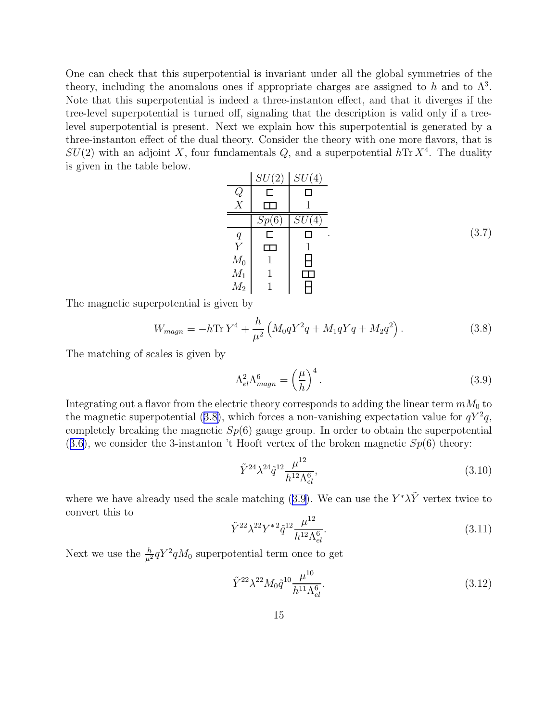One can check that this superpotential is invariant under all the global symmetries of the theory, including the anomalous ones if appropriate charges are assigned to h and to  $\Lambda^3$ . Note that this superpotential is indeed a three-instanton effect, and that it diverges if the tree-level superpotential is turned off, signaling that the description is valid only if a treelevel superpotential is present. Next we explain how this superpotential is generated by a three-instanton effect of the dual theory. Consider the theory with one more flavors, that is  $SU(2)$  with an adjoint X, four fundamentals Q, and a superpotential  $h\text{Tr }X^4$ . The duality is given in the table below.

|                  | SU(2) | SU(4)     |
|------------------|-------|-----------|
|                  |       |           |
| X                |       |           |
|                  | 6     |           |
| q                |       | $\bullet$ |
| $\boldsymbol{Y}$ |       |           |
| $M_0$            |       |           |
| $M_1$            |       |           |
| $M_2$            | 1     |           |

The magnetic superpotential is given by

$$
W_{magn} = -h \text{Tr} Y^4 + \frac{h}{\mu^2} \left( M_0 q Y^2 q + M_1 q Y q + M_2 q^2 \right). \tag{3.8}
$$

The matching of scales is given by

$$
\Lambda_{el}^2 \Lambda_{magn}^6 = \left(\frac{\mu}{h}\right)^4.
$$
\n(3.9)

Integrating out a flavor from the electric theory corresponds to adding the linear term  $mM_0$  to the magnetic superpotential (3.8), which forces a non-vanishing expectation value for  $qY^2q$ , completely breaking the magnetic  $Sp(6)$  gauge group. In order to obtain the superpotential  $(3.6)$  $(3.6)$ , we consider the 3-instanton 't Hooft vertex of the broken magnetic  $Sp(6)$  theory:

$$
\tilde{Y}^{24} \lambda^{24} \tilde{q}^{12} \frac{\mu^{12}}{h^{12} \Lambda_{el}^6},\tag{3.10}
$$

where we have already used the scale matching (3.9). We can use the  $Y^*\lambda\tilde{Y}$  vertex twice to convert this to

$$
\tilde{Y}^{22} \lambda^{22} Y^{*2} \tilde{q}^{12} \frac{\mu^{12}}{h^{12} \Lambda_{el}^6}.
$$
\n(3.11)

Next we use the  $\frac{h}{\mu^2} qY^2 qM_0$  superpotential term once to get

$$
\tilde{Y}^{22} \lambda^{22} M_0 \tilde{q}^{10} \frac{\mu^{10}}{h^{11} \Lambda_{el}^6}.
$$
\n(3.12)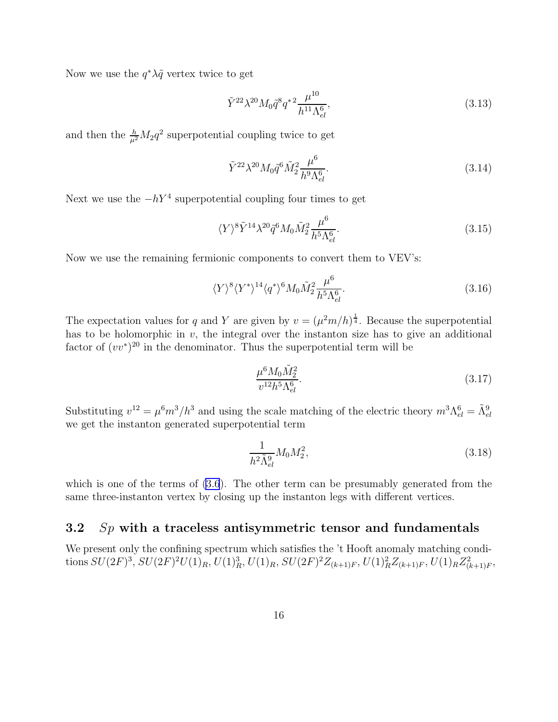<span id="page-16-0"></span>Now we use the  $q^*\lambda\tilde{q}$  vertex twice to get

$$
\tilde{Y}^{22} \lambda^{20} M_0 \tilde{q}^8 q^{*2} \frac{\mu^{10}}{h^{11} \Lambda_{el}^6},\tag{3.13}
$$

and then the  $\frac{h}{\mu^2}M_2q^2$  superpotential coupling twice to get

$$
\tilde{Y}^{22} \lambda^{20} M_0 \tilde{q}^6 \tilde{M}_2^2 \frac{\mu^6}{h^9 \Lambda_{el}^6}.
$$
\n(3.14)

Next we use the  $-hY^4$  superpotential coupling four times to get

$$
\langle Y \rangle^8 \tilde{Y}^{14} \lambda^{20} \tilde{q}^6 M_0 \tilde{M}_2^2 \frac{\mu^6}{h^5 \Lambda_{el}^6}.
$$
\n
$$
(3.15)
$$

Now we use the remaining fermionic components to convert them to VEV's:

$$
\langle Y \rangle^8 \langle Y^* \rangle^{14} \langle q^* \rangle^6 M_0 \tilde{M}_2^2 \frac{\mu^6}{h^5 \Lambda_{el}^6}.
$$
\n(3.16)

The expectation values for q and Y are given by  $v = (\mu^2 m/h)^{\frac{1}{4}}$ . Because the superpotential has to be holomorphic in  $v$ , the integral over the instanton size has to give an additional factor of  $(vv^*)^{20}$  in the denominator. Thus the superpotential term will be

$$
\frac{\mu^6 M_0 \tilde{M}_2^2}{v^{12} h^5 \Lambda_{el}^6}.\tag{3.17}
$$

Substituting  $v^{12} = \mu^6 m^3 / h^3$  and using the scale matching of the electric theory  $m^3 \Lambda_{el}^6 = \tilde{\Lambda}_{el}^9$ we get the instanton generated superpotential term

$$
\frac{1}{h^2 \tilde{\Lambda}_{el}^9} M_0 M_2^2, \tag{3.18}
$$

which is one of the terms of  $(3.6)$ . The other term can be presumably generated from the same three-instanton vertex by closing up the instanton legs with different vertices.

### 3.2  $Sp$  with a traceless antisymmetric tensor and fundamentals

We present only the confining spectrum which satisfies the 't Hooft anomaly matching conditions  $SU(2F)^3$ ,  $SU(2F)^2U(1)_R$ ,  $U(1)_R^3$ ,  $U(1)_R$ ,  $SU(2F)^2Z_{(k+1)F}$ ,  $U(1)_R^2Z_{(k+1)F}$ ,  $U(1)_RZ_{(k+1)F}^2$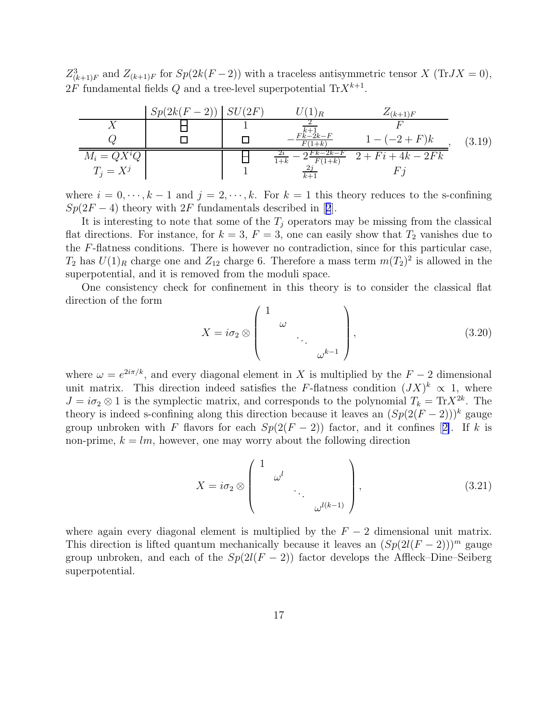$Z_{(k+1)F}^3$  and  $Z_{(k+1)F}$  for  $Sp(2k(F-2))$  with a traceless antisymmetric tensor X (TrJX = 0),  $2F$  fundamental fields Q and a tree-level superpotential  $\text{Tr}X^{k+1}$ .

|                                 | $Sp(2k(F-2))$ $SU(2F)$ | $(1)_R$                        | $Z_{(k+1)F}$        |        |
|---------------------------------|------------------------|--------------------------------|---------------------|--------|
|                                 |                        |                                |                     |        |
|                                 |                        | $F_{k-2k-F}^{k+1}$<br>$1+k$    | $1 - (-2 + F)k$     | (3.19) |
| $\frac{M_i = QX^iQ}{T_i = X^j}$ |                        | $Fk-2k-F$<br>$F(1+k)$<br>$1+k$ | $2 + Fi + 4k - 2Fk$ |        |
|                                 |                        |                                |                     |        |

where  $i = 0, \dots, k-1$  and  $j = 2, \dots, k$ . For  $k = 1$  this theory reduces to the s-confining  $Sp(2F-4)$  $Sp(2F-4)$  $Sp(2F-4)$ theory with  $2F$  fundamentals described in [2].

It is interesting to note that some of the  $T_i$  operators may be missing from the classical flat directions. For instance, for  $k = 3$ ,  $F = 3$ , one can easily show that  $T_2$  vanishes due to the F-flatness conditions. There is however no contradiction, since for this particular case,  $T_2$  has  $U(1)_R$  charge one and  $Z_{12}$  charge 6. Therefore a mass term  $m(T_2)^2$  is allowed in the superpotential, and it is removed from the moduli space.

One consistency check for confinement in this theory is to consider the classical flat direction of the form

$$
X = i\sigma_2 \otimes \begin{pmatrix} 1 & & & \\ & \omega & & \\ & & \ddots & \\ & & & \omega^{k-1} \end{pmatrix}, \tag{3.20}
$$

where  $\omega = e^{2i\pi/k}$ , and every diagonal element in X is multiplied by the  $F - 2$  dimensional unit matrix. This direction indeed satisfies the F-flatness condition  $(JX)^k \propto 1$ , where  $J = i\sigma_2 \otimes 1$  is the symplectic matrix, and corresponds to the polynomial  $T_k = \text{Tr} X^{2k}$ . The theory is indeed s-confining along this direction because it leaves an  $(Sp(2(F-2)))^k$  gauge groupunbroken with F flavors for each  $Sp(2(F-2))$  factor, and it confines [[2\]](#page-24-0). If k is non-prime,  $k = lm$ , however, one may worry about the following direction

$$
X = i\sigma_2 \otimes \begin{pmatrix} 1 & & & \\ & \omega^l & & \\ & & \ddots & \\ & & & \omega^{l(k-1)} \end{pmatrix}, \tag{3.21}
$$

where again every diagonal element is multiplied by the  $F-2$  dimensional unit matrix. This direction is lifted quantum mechanically because it leaves an  $(Sp(2l(F-2)))^m$  gauge group unbroken, and each of the  $Sp(2l(F-2))$  factor develops the Affleck–Dine–Seiberg superpotential.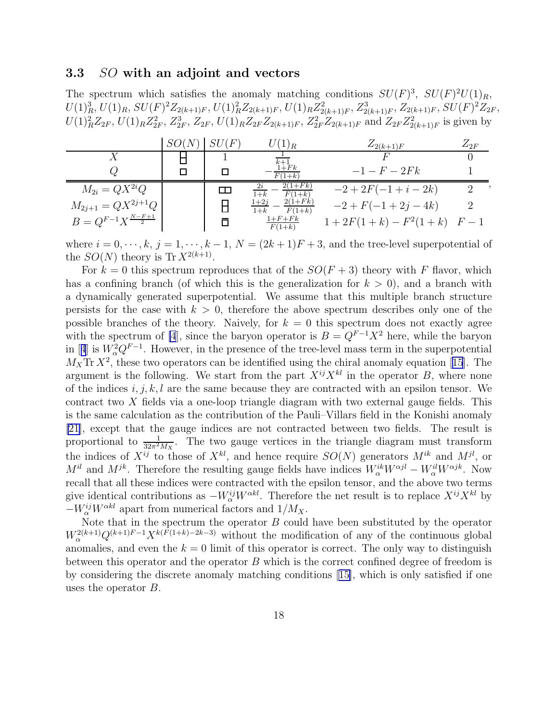### 3.3 SO with an adjoint and vectors

The spectrum which satisfies the anomaly matching conditions  $SU(F)^3$ ,  $SU(F)^2U(1)_R$ ,  $U(1)_R^3, U(1)_R, SU(F)^2 Z_{2(k+1)F}, U(1)_R^2 Z_{2(k+1)F}, U(1)_R Z_{2(k+1)F}^2, Z_{2(k+1)F}^3, Z_{2(k+1)F}, SU(F)^2 Z_{2F},$  $U(1)_R^2 Z_{2F}$ ,  $U(1)_R Z_{2F}^2$ ,  $Z_{2F}^3$ ,  $Z_{2F}$ ,  $U(1)_R Z_{2F} Z_{2(k+1)F}$ ,  $Z_{2F}^2 Z_{2(k+1)F}$  and  $Z_{2F} Z_{2(k+1)F}^2$  is given by

|                                   | SU (F  | $U(1)_R$                                    | $Z_{2(k+1)F}$              | $Z_{2F}$ |
|-----------------------------------|--------|---------------------------------------------|----------------------------|----------|
|                                   |        |                                             |                            |          |
| Q                                 |        | $1 + Fk$<br>$F(1+k)$                        | $-1 - F - 2Fk$             |          |
| $M_{2i} = QX^{2i}Q$               | $\Box$ | $2(1 + Fk)$<br>$\overline{1+k}$<br>$F(1+k)$ | $-2 + 2F(-1 + i - 2k)$     |          |
| $M_{2j+1} = QX^{2j+1}Q$           |        | $2(1 + Fk)$<br>$1+2j$<br>$1+k$<br>$F(1+k)$  | $-2 + F(-1 + 2j - 4k)$     |          |
| $B = Q^{F-1} X^{\frac{N-F+1}{2}}$ |        | $1+F+Fk$<br>$F(1+k)$                        | $1+2F(1+k)-F^2(1+k)$ $F-1$ |          |

where  $i = 0, \dots, k, j = 1, \dots, k - 1, N = (2k + 1)F + 3$ , and the tree-level superpotential of the  $SO(N)$  theory is Tr  $X^{2(k+1)}$ .

For  $k = 0$  this spectrum reproduces that of the  $SO(F + 3)$  theory with F flavor, which has a confining branch (of which this is the generalization for  $k > 0$ ), and a branch with a dynamically generated superpotential. We assume that this multiple branch structure persists for the case with  $k > 0$ , therefore the above spectrum describes only one of the possible branches of the theory. Naively, for  $k = 0$  this spectrum does not exactly agree with the spectrum of [\[4](#page-24-0)], since the baryon operator is  $B = Q^{F-1}X^2$  here, while the baryon in[[4](#page-24-0)] is  $W_\alpha^2 Q^{F-1}$ . However, in the presence of the tree-level mass term in the superpotential  $M_X$ Tr $X^2$ , these two operators can be identified using the chiral anomaly equation [[15](#page-25-0)]. The argument is the following. We start from the part  $X^{ij}X^{kl}$  in the operator B, where none of the indices  $i, j, k, l$  are the same because they are contracted with an epsilon tensor. We contract two X fields via a one-loop triangle diagram with two external gauge fields. This is the same calculation as the contribution of the Pauli–Villars field in the Konishi anomaly [\[21](#page-25-0)], except that the gauge indices are not contracted between two fields. The result is proportional to  $\frac{1}{32\pi^2 M_X}$ . The two gauge vertices in the triangle diagram must transform the indices of  $X^{ij}$  to those of  $X^{kl}$ , and hence require  $SO(N)$  generators  $M^{ik}$  and  $M^{jl}$ , or  $M^{il}$  and  $M^{jk}$ . Therefore the resulting gauge fields have indices  $W_{\alpha}^{ik}W^{\alpha jl} - W_{\alpha}^{il}W^{\alpha jk}$ . Now recall that all these indices were contracted with the epsilon tensor, and the above two terms give identical contributions as  $-W_{\alpha}^{ij}W^{\alpha kl}$ . Therefore the net result is to replace  $X^{ij}X^{kl}$  by  $-W_{\alpha}^{ij}W^{\alpha kl}$  apart from numerical factors and  $1/M_X$ .

Note that in the spectrum the operator  $B$  could have been substituted by the operator  $W_{\alpha}^{2(k+1)}Q^{(k+1)F-1}X^{k(F(1+k)-2k-3)}$  without the modification of any of the continuous global anomalies, and even the  $k = 0$  limit of this operator is correct. The only way to distinguish between this operator and the operator B which is the correct confined degree of freedom is by considering the discrete anomaly matching conditions[[15\]](#page-25-0), which is only satisfied if one uses the operator B.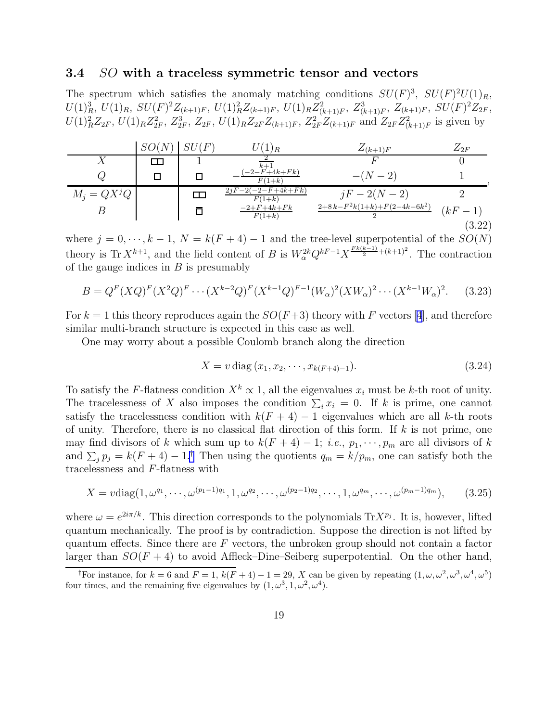### <span id="page-19-0"></span>3.4 SO with a traceless symmetric tensor and vectors

The spectrum which satisfies the anomaly matching conditions  $SU(F)^3$ ,  $SU(F)^2U(1)_R$ ,  $U(1)_R^3$ ,  $U(1)_R$ ,  $SU(F)^2Z_{(k+1)F}$ ,  $U(1)_R^2Z_{(k+1)F}$ ,  $U(1)_RZ_{(k+1)F}^2$ ,  $Z_{(k+1)F}^3$ ,  $Z_{(k+1)F}$ ,  $SU(F)^2Z_{2F}$ ,  $U(1)_R^2 Z_{2F}$ ,  $U(1)_R Z_{2F}^2$ ,  $Z_{2F}^3$ ,  $Z_{2F}$ ,  $U(1)_R Z_{2F} Z_{(k+1)F}$ ,  $Z_{2F}^2 Z_{(k+1)F}$  and  $Z_{2F} Z_{(k+1)F}^2$  is given by

|               | SO(N) | SU(F)  | $\perp$ ) R                    | $Z_{(k+1)F}$                  | $\mathcal{L}_{2F}$ |
|---------------|-------|--------|--------------------------------|-------------------------------|--------------------|
|               | T     |        | $k+1$                          |                               |                    |
|               |       | $\Box$ | $-2 - F + 4k + Fk$<br>$F(1+k)$ | $-(N-2)$                      |                    |
| $M_j = QX^jQ$ |       |        | $2 - F + 4k + Fk$<br>$F(1+k)$  | $jF - 2(N - 2)$               |                    |
|               |       | П      | $-2 + F + 4k + Fk$<br>$F(1+k)$ | $2+8k-F^2k(1+k)+F(2-4k-6k^2)$ | $(kF-1)$           |
|               |       |        |                                |                               | (3.22)             |

where  $j = 0, \dots, k - 1, N = k(F + 4) - 1$  and the tree-level superpotential of the  $SO(N)$ theory is Tr  $X^{k+1}$ , and the field content of B is  $W_\alpha^{2k} Q^{kF-1} X^{\frac{F_k(k-1)}{2}+(k+1)^2}$ . The contraction of the gauge indices in  $B$  is presumably

$$
B = Q^{F}(XQ)^{F}(X^{2}Q)^{F} \cdots (X^{k-2}Q)^{F}(X^{k-1}Q)^{F-1}(W_{\alpha})^{2}(XW_{\alpha})^{2} \cdots (X^{k-1}W_{\alpha})^{2}.
$$
 (3.23)

For $k = 1$  this theory reproduces again the  $SO(F+3)$  theory with F vectors [[4](#page-24-0)], and therefore similar multi-branch structure is expected in this case as well.

One may worry about a possible Coulomb branch along the direction

$$
X = v \operatorname{diag}(x_1, x_2, \cdots, x_{k(F+4)-1}). \tag{3.24}
$$

To satisfy the F-flatness condition  $X^k \propto 1$ , all the eigenvalues  $x_i$  must be k-th root of unity. The tracelessness of X also imposes the condition  $\sum_i x_i = 0$ . If k is prime, one cannot satisfy the tracelessness condition with  $k(F + 4) - 1$  eigenvalues which are all k-th roots of unity. Therefore, there is no classical flat direction of this form. If  $k$  is not prime, one may find divisors of k which sum up to  $k(F + 4) - 1$ ; *i.e.*,  $p_1, \dots, p_m$  are all divisors of k and  $\sum_j p_j = k(F+4) - 1$ .<sup>†</sup> Then using the quotients  $q_m = k/p_m$ , one can satisfy both the tracelessness and F-flatness with

$$
X = \nu \text{diag}(1, \omega^{q_1}, \cdots, \omega^{(p_1 - 1)q_1}, 1, \omega^{q_2}, \cdots, \omega^{(p_2 - 1)q_2}, \cdots, 1, \omega^{q_m}, \cdots, \omega^{(p_m - 1)q_m}), \qquad (3.25)
$$

where  $\omega = e^{2i\pi/k}$ . This direction corresponds to the polynomials  $Tr X^{p_j}$ . It is, however, lifted quantum mechanically. The proof is by contradiction. Suppose the direction is not lifted by quantum effects. Since there are  $F$  vectors, the unbroken group should not contain a factor larger than  $SO(F + 4)$  to avoid Affleck–Dine–Seiberg superpotential. On the other hand,

<sup>&</sup>lt;sup>†</sup>For instance, for  $k = 6$  and  $F = 1$ ,  $k(F + 4) - 1 = 29$ , X can be given by repeating  $(1, \omega, \omega^2, \omega^3, \omega^4, \omega^5)$ four times, and the remaining five eigenvalues by  $(1, \omega^3, 1, \omega^2, \omega^4)$ .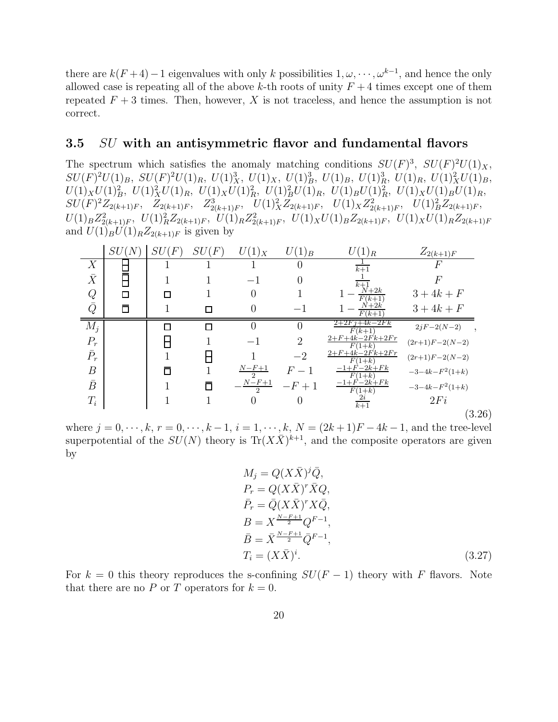there are  $k(F+4)-1$  eigenvalues with only k possibilities  $1, \omega, \dots, \omega^{k-1}$ , and hence the only allowed case is repeating all of the above k-th roots of unity  $F + 4$  times except one of them repeated  $F + 3$  times. Then, however, X is not traceless, and hence the assumption is not correct.

#### 3.5 SU with an antisymmetric flavor and fundamental flavors

The spectrum which satisfies the anomaly matching conditions  $SU(F)^3$ ,  $SU(F)^2U(1)_X$ ,  $SU(F)^2U(1)_B$ ,  $SU(F)^2U(1)_R$ ,  $U(1)_X^3$ ,  $U(1)_X$ ,  $U(1)_B^3$ ,  $U(1)_B$ ,  $U(1)_R^3$ ,  $U(1)_R$ ,  $U(1)_X^2U(1)_B$ ,  $U(1)_X U(1)_B^2$ ,  $U(1)_X^2 U(1)_R$ ,  $U(1)_X U(1)_R^2$ ,  $U(1)_B^2 U(1)_R$ ,  $U(1)_B U(1)_R^2$ ,  $U(1)_X U(1)_B U(1)_R$ ,  $SU(F)^2 Z_{2(k+1)F}$ ,  $Z_{2(k+1)F}$ ,  $Z_{2(k+1)F}^3$ ,  $U(1)_X^2 Z_{2(k+1)F}$ ,  $U(1)_X Z_{2(k+1)F}^2$ ,  $U(1)_B^2 Z_{2(k+1)F}$ ,  $U(1)_B Z_{2(k+1)F}^2$ ,  $U(1)_R^2 Z_{2(k+1)F}$ ,  $U(1)_R Z_{2(k+1)F}^2$ ,  $U(1)_X U(1)_B Z_{2(k+1)F}$ ,  $U(1)_X U(1)_R Z_{2(k+1)F}$ and  $U(1)_B \overline{U(1)}_R Z_{2(k+1)F}$  is given by

|                  | SU     | SL<br>$\,F$ | SU<br>$\,F$ | $U(1)_X$                 | $\angle(1)_B$  | $(1)_R$                              | $Z_{2(k+1)F}$    |
|------------------|--------|-------------|-------------|--------------------------|----------------|--------------------------------------|------------------|
| X                |        |             |             |                          |                | $k+1$                                |                  |
| $\bar{X}$        |        |             |             |                          |                | $k+1$                                |                  |
|                  | $\Box$ |             |             | $\theta$                 |                | $+2k$<br>$F(k+1)$                    | $3 + 4k + F$     |
| $Q\overline{Q}$  | Ō      |             |             | $\theta$                 | — I            | $N+2k$<br>$F(k+1)$                   | $3 + 4k + F$     |
| $M_i$            |        |             |             |                          |                | $2+2Fj+4k-2Fk$<br>$F(k+1)$           | $2jF-2(N-2)$     |
| $P_r$            |        |             |             | — 1                      | $\overline{2}$ | $2 + F + 4k - 2Fk + 2Fr$<br>$F(1+k)$ | $(2r+1)F-2(N-2)$ |
| $\bar{P}_r$      |        |             |             |                          | $-2$           | $2 + F + 4k - 2Fk + 2Fr$<br>$F(1+k)$ | $(2r+1)F-2(N-2)$ |
| $\boldsymbol{B}$ |        |             |             | $N-F+1$<br>$\mathcal{D}$ | $F-1$          | $-1 + F - 2k + Fk$<br>$F(1+k)$       | $-3-4k-F^2(1+k)$ |
| $\bar{B}$        |        |             |             | $N-F+1$<br>$\mathcal{D}$ | $-F+1$         | $-1 + F - 2k + Fk$<br>$F(1+k)$       | $-3-4k-F^2(1+k)$ |
| $T_i$            |        |             |             |                          |                | $\frac{2i}{k+1}$                     | 2Fi              |
|                  |        |             |             |                          |                |                                      | (3.26)           |

where  $j = 0, \dots, k, r = 0, \dots, k - 1, i = 1, \dots, k, N = (2k+1)F - 4k - 1$ , and the tree-level superpotential of the  $SU(N)$  theory is  $Tr(X\bar{X})^{k+1}$ , and the composite operators are given by

$$
M_j = Q(X\overline{X})^j \overline{Q},
$$
  
\n
$$
P_r = Q(X\overline{X})^r \overline{X} Q,
$$
  
\n
$$
\overline{P}_r = \overline{Q}(X\overline{X})^r X \overline{Q},
$$
  
\n
$$
B = X^{\frac{N-F+1}{2}} Q^{F-1},
$$
  
\n
$$
\overline{B} = \overline{X}^{\frac{N-F+1}{2}} \overline{Q}^{F-1},
$$
  
\n
$$
T_i = (X\overline{X})^i.
$$
\n(3.27)

For  $k = 0$  this theory reproduces the s-confining  $SU(F-1)$  theory with F flavors. Note that there are no P or T operators for  $k = 0$ .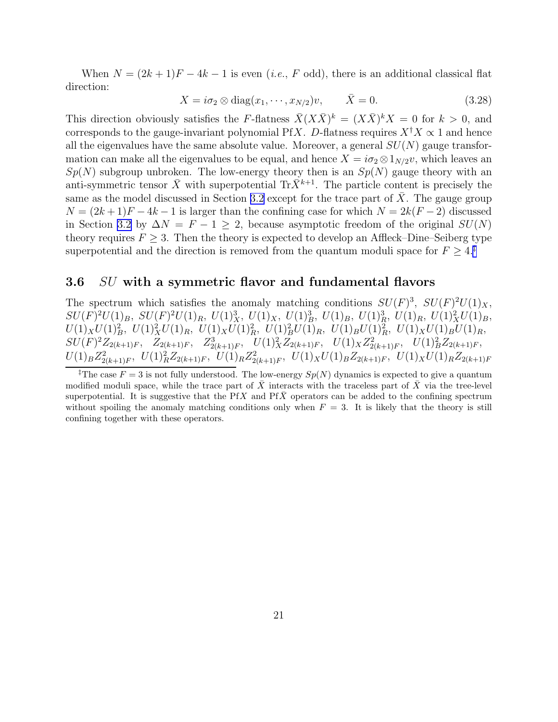When  $N = (2k+1)F - 4k - 1$  is even (*i.e.*, F odd), there is an additional classical flat direction:

$$
X = i\sigma_2 \otimes \text{diag}(x_1, \cdots, x_{N/2})v, \qquad \bar{X} = 0. \tag{3.28}
$$

This direction obviously satisfies the F-flatness  $\bar{X}(X\bar{X})^k = (X\bar{X})^k X = 0$  for  $k > 0$ , and corresponds to the gauge-invariant polynomial PfX. D-flatness requires  $X^{\dagger}X \propto 1$  and hence all the eigenvalues have the same absolute value. Moreover, a general  $SU(N)$  gauge transformation can make all the eigenvalues to be equal, and hence  $X = i\sigma_2 \otimes 1_{N/2}v$ , which leaves an  $Sp(N)$  subgroup unbroken. The low-energy theory then is an  $Sp(N)$  gauge theory with an anti-symmetric tensor  $\bar{X}$  with superpotential Tr $\bar{X}^{k+1}$ . The particle content is precisely the same as the model discussed in Section [3.2](#page-16-0) except for the trace part of  $\overline{X}$ . The gauge group  $N = (2k+1)F - 4k - 1$  is larger than the confining case for which  $N = 2k(F-2)$  discussed in Section [3.2](#page-16-0) by  $\Delta N = F - 1 \ge 2$ , because asymptotic freedom of the original  $SU(N)$ theory requires  $F \geq 3$ . Then the theory is expected to develop an Affleck–Dine–Seiberg type superpotential and the direction is removed from the quantum moduli space for  $F \geq 4$ .<sup>†</sup>

### 3.6 SU with a symmetric flavor and fundamental flavors

The spectrum which satisfies the anomaly matching conditions  $SU(F)^3$ ,  $SU(F)^2U(1)_X$ ,  $SU(F)^2U(1)_B$ ,  $SU(F)^2U(1)_R$ ,  $U(1)_X^3$ ,  $U(1)_X$ ,  $U(1)_B^3$ ,  $U(1)_B$ ,  $U(1)_R^3$ ,  $U(1)_R$ ,  $U(1)_X^2U(1)_B$ ,  $U(1)_X U(1)_B^2$ ,  $U(1)_X^2 U(1)_R$ ,  $U(1)_X U(1)_R^2$ ,  $U(1)_B^2 U(1)_R$ ,  $U(1)_B U(1)_R^2$ ,  $U(1)_X U(1)_B U(1)_R$ ,  $SU(F)^2 Z_{2(k+1)F}$ ,  $Z_{2(k+1)F}$ ,  $Z_{2(k+1)F}^3$ ,  $U(1)_X^2 Z_{2(k+1)F}$ ,  $U(1)_X Z_{2(k+1)F}^2$ ,  $U(1)_B^2 Z_{2(k+1)F}$ ,  $U(1)_B Z_{2(k+1)F}^2$ ,  $U(1)_R^2 Z_{2(k+1)F}$ ,  $U(1)_R Z_{2(k+1)F}^2$ ,  $U(1)_X U(1)_B Z_{2(k+1)F}$ ,  $U(1)_X U(1)_R Z_{2(k+1)F}$ 

<sup>&</sup>lt;sup>‡</sup>The case  $F = 3$  is not fully understood. The low-energy  $Sp(N)$  dynamics is expected to give a quantum modified moduli space, while the trace part of  $\bar{X}$  interacts with the traceless part of  $\bar{X}$  via the tree-level superpotential. It is suggestive that the  $PfX$  and  $PfX$  operators can be added to the confining spectrum without spoiling the anomaly matching conditions only when  $F = 3$ . It is likely that the theory is still confining together with these operators.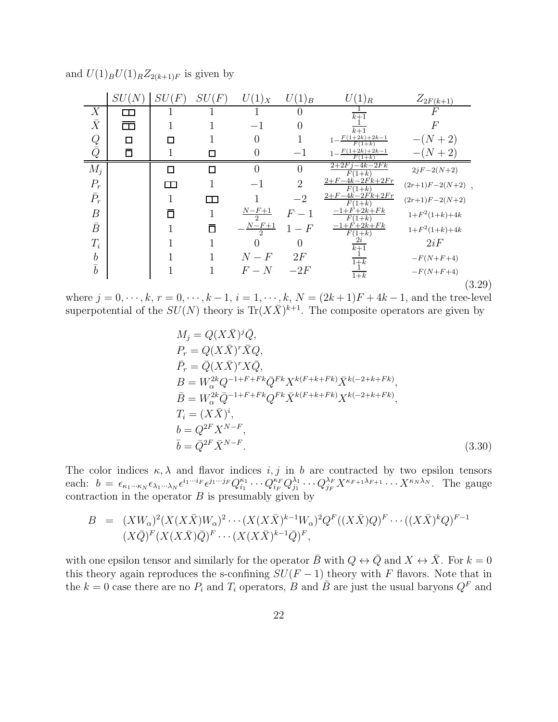|                     | SU(N)             | SU<br>$\hat{F}$ | SU(F) | $U(1)_X$                  | $U(1)_B$       | $(1)_R$                              | $Z_{2F(k+1)}$               |
|---------------------|-------------------|-----------------|-------|---------------------------|----------------|--------------------------------------|-----------------------------|
| X                   | $\Box$            |                 |       |                           |                | $\overline{k+1}$                     | F                           |
| $\bar{X}$           | $\Box$            |                 |       | $-1$                      |                | $k+1$                                | $\boldsymbol{F}$            |
|                     | $\Box$            |                 |       |                           |                | $\frac{F(1+2k)+2k-1}{F(1+k)}$        | $-(N+2)$                    |
| $\frac{Q}{\bar{Q}}$ | $\overline{\Box}$ |                 |       |                           | $^{-1}$        | $F(1+2k)+2k-1$<br>$F(1+k)$           | $(N+2)$                     |
| $M_j$               |                   | П               |       |                           |                | $2+2Fj-4k-2Fk$<br>$F(1+k)$           | $2jF-2(N+2)$                |
| $\mathcal{P}_r$     |                   | ПT              |       | $-1$                      | $\overline{2}$ | $2 + F - 4k - 2Fk + 2Fr$<br>$F(1+k)$ | $(2r+1)F-2(N+2)$ ,          |
| $\bar{P}_r$         |                   |                 | ──┌── |                           | $-2$           | $2 + F - 4k - 2Fk + 2Fr$<br>$F(1+k)$ | $(2r+1)F-2(N+2)$            |
| $\boldsymbol{B}$    |                   | n               |       | $\frac{N - F + 1}{2}$     | $F-1$          | $-1 + F + 2k + Fk$<br>$F(1+k)$       | $1\!+\!F^2(1\!+\!k)\!+\!4k$ |
| $\bar{B}$           |                   |                 |       | $N-F+1$<br>$\mathfrak{D}$ | $1-F$          | $-1 + F + 2k + Fk$<br>$F(1+k)$       | $1\!+\!F^2(1\!+\!k)\!+\!4k$ |
| $T_i$               |                   |                 |       |                           | 0              | $\overline{k+1}$                     | 2iF                         |
| $\boldsymbol{b}$    |                   |                 |       | $N-F$                     | 2F             | $1+k$                                | $-F(N+F+4)$                 |
| $\bar{b}$           |                   |                 |       | $F-N$                     | $-2F$          | $\frac{1}{1+k}$                      | $-F(N+F+4)$                 |
|                     |                   |                 |       |                           |                |                                      | (3.29)                      |

and  $U(1)_B U(1)_R Z_{2(k+1)F}$  is given by

where  $j = 0, \dots, k, r = 0, \dots, k - 1, i = 1, \dots, k, N = (2k+1)F + 4k - 1$ , and the tree-level superpotential of the  $SU(N)$  theory is  $\text{Tr}(X\overline{X})^{k+1}$ . The composite operators are given by

$$
M_j = Q(X\overline{X})^j \overline{Q},
$$
  
\n
$$
P_r = Q(X\overline{X})^r \overline{X} Q,
$$
  
\n
$$
\overline{P}_r = \overline{Q}(X\overline{X})^r X \overline{Q},
$$
  
\n
$$
B = W_\alpha^{2k} Q^{-1+F+Fk} \overline{Q}^{Fk} X^{k(F+k+Fk)} \overline{X}^{k(-2+k+Fk)},
$$
  
\n
$$
\overline{B} = W_\alpha^{2k} \overline{Q}^{-1+F+Fk} Q^{Fk} \overline{X}^{k(F+k+Fk)} X^{k(-2+k+Fk)},
$$
  
\n
$$
T_i = (X\overline{X})^i,
$$
  
\n
$$
b = Q^{2F} X^{N-F},
$$
  
\n
$$
\overline{b} = \overline{Q}^{2F} \overline{X}^{N-F}.
$$
\n(3.30)

The color indices  $\kappa, \lambda$  and flavor indices i, j in b are contracted by two epsilon tensors each:  $b = \epsilon_{\kappa_1 \cdots \kappa_N} \epsilon_{\lambda_1 \cdots \lambda_N} \epsilon^{i_1 \cdots i_F} \epsilon^{j_1 \cdots j_F} Q_{i_1}^{\kappa_1}$  $i_1^{\kappa_1}\cdots Q_{i_F}^{\kappa_F} Q_{j_1}^{\lambda_1}$  $\lambda_1^{\lambda_1} \cdots Q_{j_F}^{\lambda_F} X^{\kappa_{F+1}\lambda_{F+1}} \cdots X^{\kappa_N \lambda_N}$ . The gauge contraction in the operator  $B$  is presumably given by

$$
B = (XW_{\alpha})^2 (X(X\overline{X})W_{\alpha})^2 \cdots (X(X\overline{X})^{k-1}W_{\alpha})^2 Q^F ((X\overline{X})Q)^F \cdots ((X\overline{X})^k Q)^{F-1}
$$
  

$$
(X\overline{Q})^F (X(X\overline{X})\overline{Q})^F \cdots (X(X\overline{X})^{k-1}\overline{Q})^F,
$$

with one epsilon tensor and similarly for the operator  $\bar{B}$  with  $Q \leftrightarrow \bar{Q}$  and  $X \leftrightarrow \bar{X}$ . For  $k = 0$ this theory again reproduces the s-confining  $SU(F-1)$  theory with F flavors. Note that in the  $k = 0$  case there are no  $P_i$  and  $T_i$  operators, B and  $\bar{B}$  are just the usual baryons  $Q^F$  and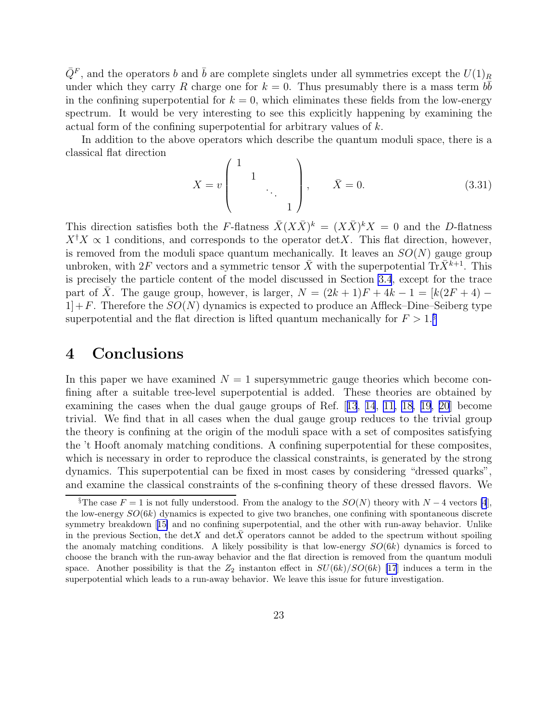<span id="page-23-0"></span> $\bar{Q}^F$ , and the operators b and  $\bar{b}$  are complete singlets under all symmetries except the  $U(1)_R$ under which they carry R charge one for  $k = 0$ . Thus presumably there is a mass term  $b\bar{b}$ in the confining superpotential for  $k = 0$ , which eliminates these fields from the low-energy spectrum. It would be very interesting to see this explicitly happening by examining the actual form of the confining superpotential for arbitrary values of k.

In addition to the above operators which describe the quantum moduli space, there is a classical flat direction

$$
X = v \begin{pmatrix} 1 & & & \\ & 1 & & \\ & & \ddots & \\ & & & 1 \end{pmatrix}, \qquad \bar{X} = 0.
$$
 (3.31)

This direction satisfies both the F-flatness  $\bar{X}(X\bar{X})^k = (X\bar{X})^k X = 0$  and the D-flatness  $X^{\dagger}X \propto 1$  conditions, and corresponds to the operator detX. This flat direction, however, is removed from the moduli space quantum mechanically. It leaves an  $SO(N)$  gauge group unbroken, with  $2F$  vectors and a symmetric tensor  $\bar{X}$  with the superpotential Tr $\bar{X}^{k+1}$ . This is precisely the particle content of the model discussed in Section [3.4](#page-19-0), except for the trace part of  $\overline{X}$ . The gauge group, however, is larger,  $N = (2k+1)F + 4k - 1 = [k(2F + 4) 1]+F$ . Therefore the  $SO(N)$  dynamics is expected to produce an Affleck–Dine–Seiberg type superpotential and the flat direction is lifted quantum mechanically for  $F > 1.\frac{§}{\$}$ 

# 4 Conclusions

In this paper we have examined  $N = 1$  supersymmetric gauge theories which become confining after a suitable tree-level superpotential is added. These theories are obtained by examining the cases when the dual gauge groups of Ref.[[13](#page-25-0), [14](#page-25-0), [11, 18, 19](#page-25-0), [20](#page-25-0)] become trivial. We find that in all cases when the dual gauge group reduces to the trivial group the theory is confining at the origin of the moduli space with a set of composites satisfying the 't Hooft anomaly matching conditions. A confining superpotential for these composites, which is necessary in order to reproduce the classical constraints, is generated by the strong dynamics. This superpotential can be fixed in most cases by considering "dressed quarks", and examine the classical constraints of the s-confining theory of these dressed flavors. We

<sup>§</sup>The case  $F = 1$  is not fully understood. From the analogy to the  $SO(N)$  theory with  $N - 4$  vectors [\[4](#page-24-0)], the low-energy  $SO(6k)$  dynamics is expected to give two branches, one confining with spontaneous discrete symmetry breakdown[[15\]](#page-25-0) and no confining superpotential, and the other with run-away behavior. Unlike in the previous Section, the detX and detX operators cannot be added to the spectrum without spoiling the anomaly matching conditions. A likely possibility is that low-energy  $SO(6k)$  dynamics is forced to choose the branch with the run-away behavior and the flat direction is removed from the quantum moduli space. Another possibility is that the  $Z_2$  instanton effect in  $SU(6k)/SO(6k)$  [\[17](#page-25-0)] induces a term in the superpotential which leads to a run-away behavior. We leave this issue for future investigation.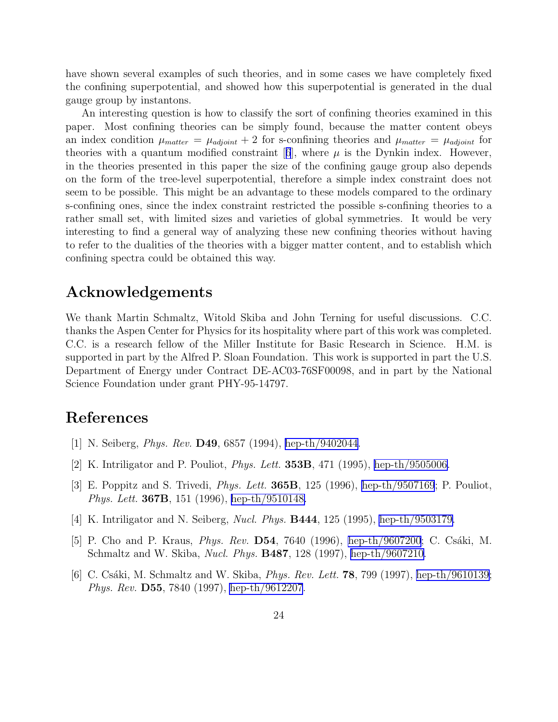<span id="page-24-0"></span>have shown several examples of such theories, and in some cases we have completely fixed the confining superpotential, and showed how this superpotential is generated in the dual gauge group by instantons.

An interesting question is how to classify the sort of confining theories examined in this paper. Most confining theories can be simply found, because the matter content obeys an index condition  $\mu_{matter} = \mu_{adioint} + 2$  for s-confining theories and  $\mu_{matter} = \mu_{adioint}$  for theories with a quantum modified constraint  $[6]$ , where  $\mu$  is the Dynkin index. However, in the theories presented in this paper the size of the confining gauge group also depends on the form of the tree-level superpotential, therefore a simple index constraint does not seem to be possible. This might be an advantage to these models compared to the ordinary s-confining ones, since the index constraint restricted the possible s-confining theories to a rather small set, with limited sizes and varieties of global symmetries. It would be very interesting to find a general way of analyzing these new confining theories without having to refer to the dualities of the theories with a bigger matter content, and to establish which confining spectra could be obtained this way.

# Acknowledgements

We thank Martin Schmaltz, Witold Skiba and John Terning for useful discussions. C.C. thanks the Aspen Center for Physics for its hospitality where part of this work was completed. C.C. is a research fellow of the Miller Institute for Basic Research in Science. H.M. is supported in part by the Alfred P. Sloan Foundation. This work is supported in part the U.S. Department of Energy under Contract DE-AC03-76SF00098, and in part by the National Science Foundation under grant PHY-95-14797.

## References

- [1] N. Seiberg, Phys. Rev. D49, 6857 (1994), [hep-th/9402044.](http://arxiv.org/abs/hep-th/9402044)
- [2] K. Intriligator and P. Pouliot, Phys. Lett. 353B, 471 (1995), [hep-th/9505006.](http://arxiv.org/abs/hep-th/9505006)
- [3] E. Poppitz and S. Trivedi, Phys. Lett. 365B, 125 (1996), [hep-th/9507169](http://arxiv.org/abs/hep-th/9507169); P. Pouliot, Phys. Lett. 367B, 151 (1996), [hep-th/9510148.](http://arxiv.org/abs/hep-th/9510148)
- [4] K. Intriligator and N. Seiberg, Nucl. Phys. B444, 125 (1995), [hep-th/9503179.](http://arxiv.org/abs/hep-th/9503179)
- [5] P. Cho and P. Kraus, *Phys. Rev.* **D54**, 7640 (1996), [hep-th/9607200](http://arxiv.org/abs/hep-th/9607200); C. Csáki, M. Schmaltz and W. Skiba, *Nucl. Phys.* **B487**, 128 (1997), [hep-th/9607210](http://arxiv.org/abs/hep-th/9607210).
- [6] C. Csáki, M. Schmaltz and W. Skiba, *Phys. Rev. Lett.* **78**, 799 (1997), [hep-th/9610139;](http://arxiv.org/abs/hep-th/9610139) Phys. Rev. D55, 7840 (1997), [hep-th/9612207](http://arxiv.org/abs/hep-th/9612207).